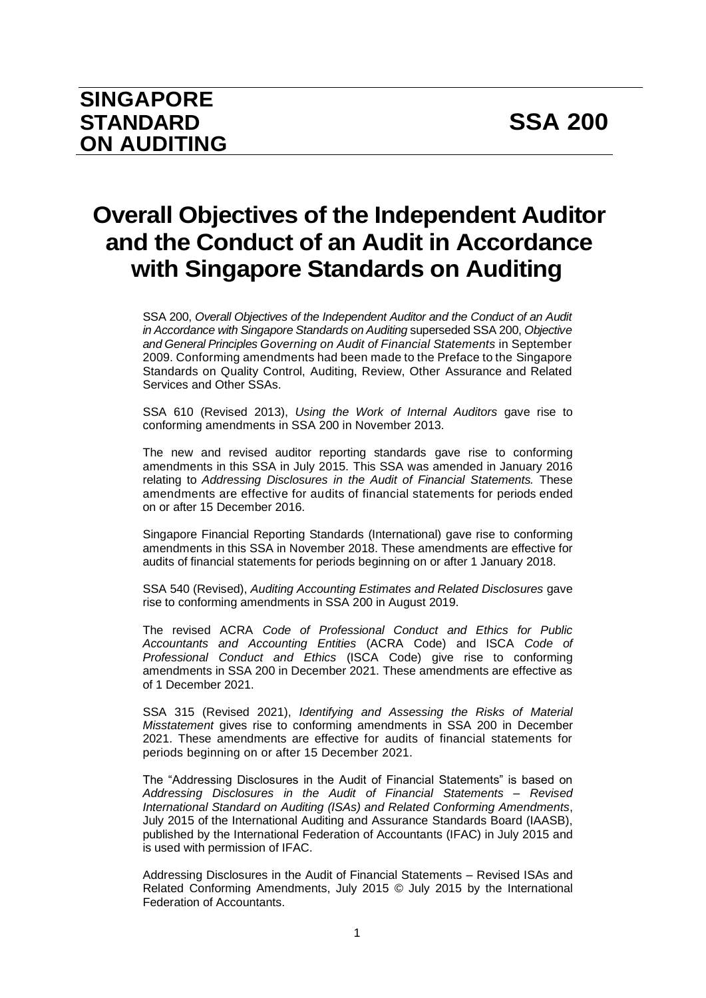# **Overall Objectives of the Independent Auditor and the Conduct of an Audit in Accordance with Singapore Standards on Auditing**

SSA 200, *Overall Objectives of the Independent Auditor and the Conduct of an Audit in Accordance with Singapore Standards on Auditing* superseded SSA 200, *Objective and General Principles Governing on Audit of Financial Statements* in September 2009. Conforming amendments had been made to the Preface to the Singapore Standards on Quality Control, Auditing, Review, Other Assurance and Related Services and Other SSAs.

SSA 610 (Revised 2013), *Using the Work of Internal Auditors* gave rise to conforming amendments in SSA 200 in November 2013.

The new and revised auditor reporting standards gave rise to conforming amendments in this SSA in July 2015. This SSA was amended in January 2016 relating to *Addressing Disclosures in the Audit of Financial Statements.* These amendments are effective for audits of financial statements for periods ended on or after 15 December 2016.

Singapore Financial Reporting Standards (International) gave rise to conforming amendments in this SSA in November 2018. These amendments are effective for audits of financial statements for periods beginning on or after 1 January 2018.

SSA 540 (Revised), *Auditing Accounting Estimates and Related Disclosures* gave rise to conforming amendments in SSA 200 in August 2019.

The revised ACRA *Code of Professional Conduct and Ethics for Public Accountants and Accounting Entities* (ACRA Code) and ISCA *Code of Professional Conduct and Ethics* (ISCA Code) give rise to conforming amendments in SSA 200 in December 2021. These amendments are effective as of 1 December 2021.

SSA 315 (Revised 2021), *Identifying and Assessing the Risks of Material Misstatement* gives rise to conforming amendments in SSA 200 in December 2021. These amendments are effective for audits of financial statements for periods beginning on or after 15 December 2021.

The "Addressing Disclosures in the Audit of Financial Statements" is based on *Addressing Disclosures in the Audit of Financial Statements – Revised International Standard on Auditing (ISAs) and Related Conforming Amendments*, July 2015 of the International Auditing and Assurance Standards Board (IAASB), published by the International Federation of Accountants (IFAC) in July 2015 and is used with permission of IFAC.

Addressing Disclosures in the Audit of Financial Statements – Revised ISAs and Related Conforming Amendments, July 2015 © July 2015 by the International Federation of Accountants.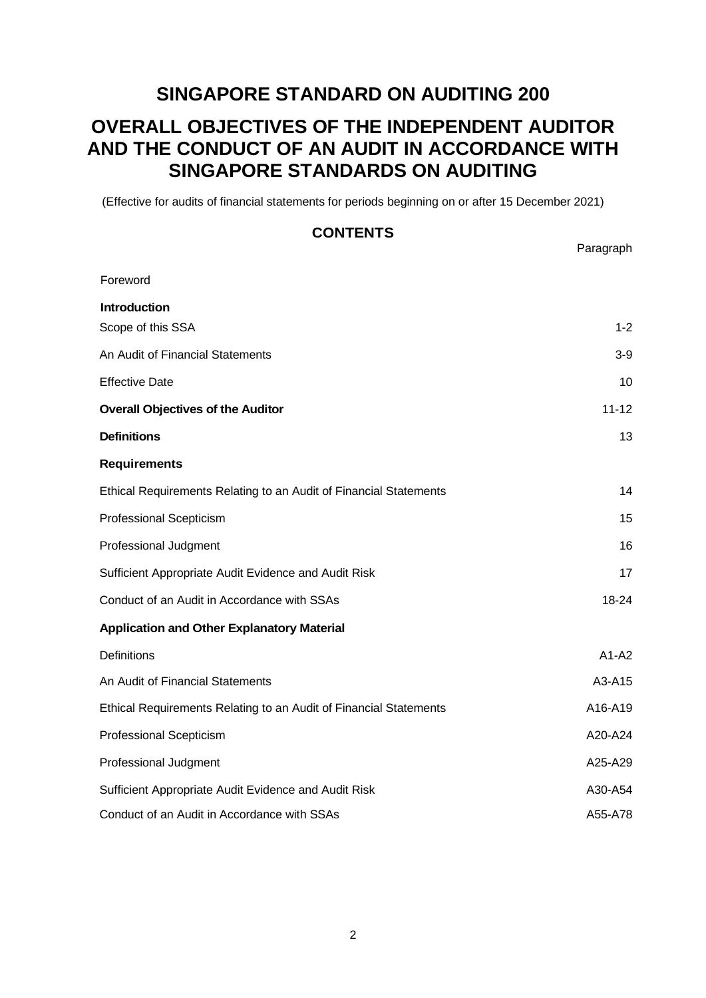## **SINGAPORE STANDARD ON AUDITING 200**

## **OVERALL OBJECTIVES OF THE INDEPENDENT AUDITOR AND THE CONDUCT OF AN AUDIT IN ACCORDANCE WITH SINGAPORE STANDARDS ON AUDITING**

(Effective for audits of financial statements for periods beginning on or after 15 December 2021)

## **CONTENTS**

Paragraph

| Foreword                                                          |           |
|-------------------------------------------------------------------|-----------|
| <b>Introduction</b>                                               |           |
| Scope of this SSA                                                 | $1 - 2$   |
| An Audit of Financial Statements                                  | $3-9$     |
| <b>Effective Date</b>                                             | 10        |
| <b>Overall Objectives of the Auditor</b>                          | $11 - 12$ |
| <b>Definitions</b>                                                | 13        |
| <b>Requirements</b>                                               |           |
| Ethical Requirements Relating to an Audit of Financial Statements | 14        |
| Professional Scepticism                                           | 15        |
| Professional Judgment                                             | 16        |
| Sufficient Appropriate Audit Evidence and Audit Risk              | 17        |
| Conduct of an Audit in Accordance with SSAs                       | 18-24     |
| <b>Application and Other Explanatory Material</b>                 |           |
| Definitions                                                       | $A1-A2$   |
| An Audit of Financial Statements                                  | A3-A15    |
| Ethical Requirements Relating to an Audit of Financial Statements | A16-A19   |
| <b>Professional Scepticism</b>                                    | A20-A24   |
| Professional Judgment                                             | A25-A29   |
| Sufficient Appropriate Audit Evidence and Audit Risk              | A30-A54   |
| Conduct of an Audit in Accordance with SSAs                       | A55-A78   |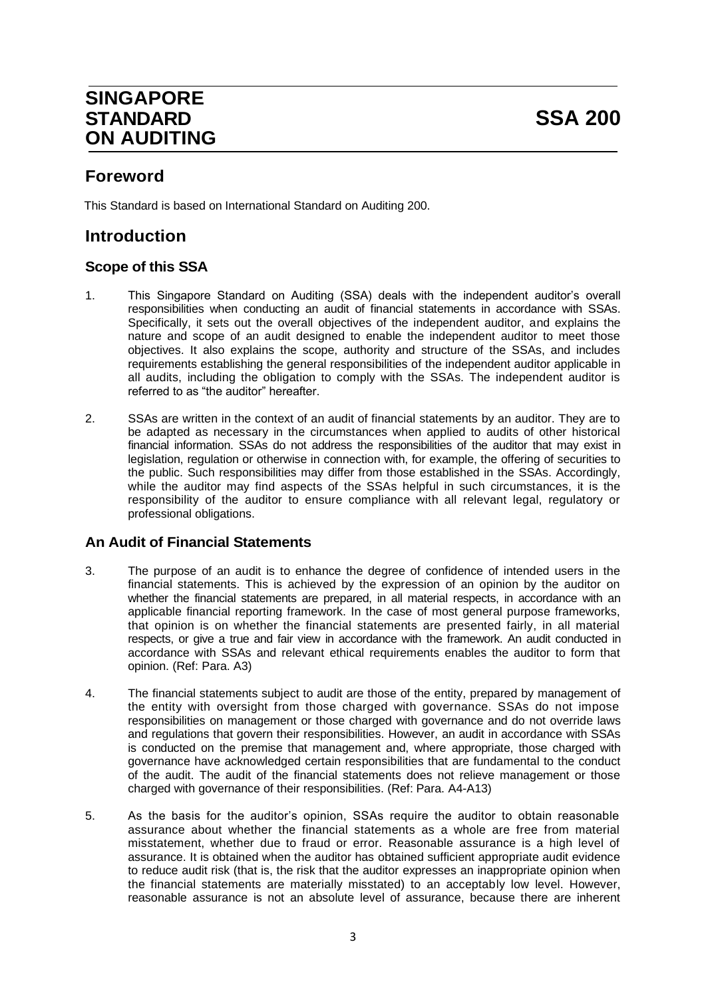## **SINGAPORE STANDARD SSA 200 ON AUDITING**

## **Foreword**

This Standard is based on International Standard on Auditing 200.

## **Introduction**

### **Scope of this SSA**

- 1. This Singapore Standard on Auditing (SSA) deals with the independent auditor's overall responsibilities when conducting an audit of financial statements in accordance with SSAs. Specifically, it sets out the overall objectives of the independent auditor, and explains the nature and scope of an audit designed to enable the independent auditor to meet those objectives. It also explains the scope, authority and structure of the SSAs, and includes requirements establishing the general responsibilities of the independent auditor applicable in all audits, including the obligation to comply with the SSAs. The independent auditor is referred to as "the auditor" hereafter.
- 2. SSAs are written in the context of an audit of financial statements by an auditor. They are to be adapted as necessary in the circumstances when applied to audits of other historical financial information. SSAs do not address the responsibilities of the auditor that may exist in legislation, regulation or otherwise in connection with, for example, the offering of securities to the public. Such responsibilities may differ from those established in the SSAs. Accordingly, while the auditor may find aspects of the SSAs helpful in such circumstances, it is the responsibility of the auditor to ensure compliance with all relevant legal, regulatory or professional obligations.

### **An Audit of Financial Statements**

- 3. The purpose of an audit is to enhance the degree of confidence of intended users in the financial statements. This is achieved by the expression of an opinion by the auditor on whether the financial statements are prepared, in all material respects, in accordance with an applicable financial reporting framework. In the case of most general purpose frameworks, that opinion is on whether the financial statements are presented fairly, in all material respects, or give a true and fair view in accordance with the framework. An audit conducted in accordance with SSAs and relevant ethical requirements enables the auditor to form that opinion. (Ref: Para. A3)
- 4. The financial statements subject to audit are those of the entity, prepared by management of the entity with oversight from those charged with governance. SSAs do not impose responsibilities on management or those charged with governance and do not override laws and regulations that govern their responsibilities. However, an audit in accordance with SSAs is conducted on the premise that management and, where appropriate, those charged with governance have acknowledged certain responsibilities that are fundamental to the conduct of the audit. The audit of the financial statements does not relieve management or those charged with governance of their responsibilities. (Ref: Para. A4-A13)
- 5. As the basis for the auditor's opinion, SSAs require the auditor to obtain reasonable assurance about whether the financial statements as a whole are free from material misstatement, whether due to fraud or error. Reasonable assurance is a high level of assurance. It is obtained when the auditor has obtained sufficient appropriate audit evidence to reduce audit risk (that is, the risk that the auditor expresses an inappropriate opinion when the financial statements are materially misstated) to an acceptably low level. However, reasonable assurance is not an absolute level of assurance, because there are inherent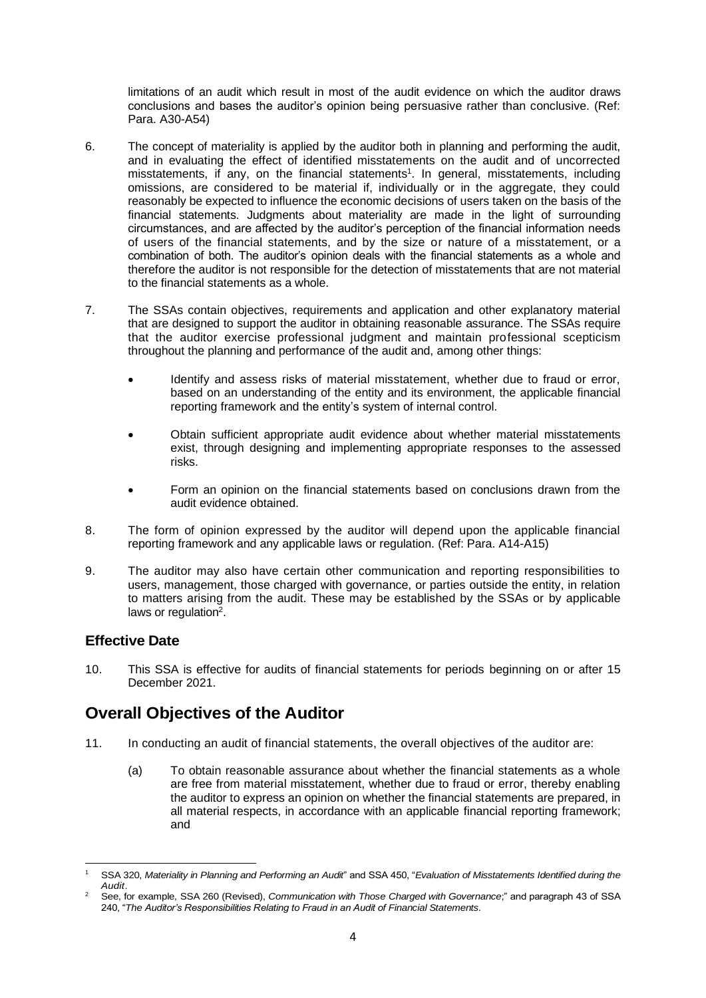limitations of an audit which result in most of the audit evidence on which the auditor draws conclusions and bases the auditor's opinion being persuasive rather than conclusive. (Ref: Para. A30-A54)

- 6. The concept of materiality is applied by the auditor both in planning and performing the audit, and in evaluating the effect of identified misstatements on the audit and of uncorrected misstatements, if any, on the financial statements<sup>1</sup>. In general, misstatements, including omissions, are considered to be material if, individually or in the aggregate, they could reasonably be expected to influence the economic decisions of users taken on the basis of the financial statements. Judgments about materiality are made in the light of surrounding circumstances, and are affected by the auditor's perception of the financial information needs of users of the financial statements, and by the size or nature of a misstatement, or a combination of both. The auditor's opinion deals with the financial statements as a whole and therefore the auditor is not responsible for the detection of misstatements that are not material to the financial statements as a whole.
- 7. The SSAs contain objectives, requirements and application and other explanatory material that are designed to support the auditor in obtaining reasonable assurance. The SSAs require that the auditor exercise professional judgment and maintain professional scepticism throughout the planning and performance of the audit and, among other things:
	- Identify and assess risks of material misstatement, whether due to fraud or error, based on an understanding of the entity and its environment, the applicable financial reporting framework and the entity's system of internal control.
	- Obtain sufficient appropriate audit evidence about whether material misstatements exist, through designing and implementing appropriate responses to the assessed risks.
	- Form an opinion on the financial statements based on conclusions drawn from the audit evidence obtained.
- 8. The form of opinion expressed by the auditor will depend upon the applicable financial reporting framework and any applicable laws or regulation. (Ref: Para. A14-A15)
- 9. The auditor may also have certain other communication and reporting responsibilities to users, management, those charged with governance, or parties outside the entity, in relation to matters arising from the audit. These may be established by the SSAs or by applicable laws or regulation<sup>2</sup>.

## **Effective Date**

10. This SSA is effective for audits of financial statements for periods beginning on or after 15 December 2021.

## **Overall Objectives of the Auditor**

- 11. In conducting an audit of financial statements, the overall objectives of the auditor are:
	- (a) To obtain reasonable assurance about whether the financial statements as a whole are free from material misstatement, whether due to fraud or error, thereby enabling the auditor to express an opinion on whether the financial statements are prepared, in all material respects, in accordance with an applicable financial reporting framework; and

<sup>1</sup> SSA 320, *Materiality in Planning and Performing an Audit*" and SSA 450, "*Evaluation of Misstatements Identified during the Audit*.

<sup>2</sup> See, for example, SSA 260 (Revised), *Communication with Those Charged with Governance*;" and paragraph 43 of SSA 240, "*The Auditor's Responsibilities Relating to Fraud in an Audit of Financial Statements*.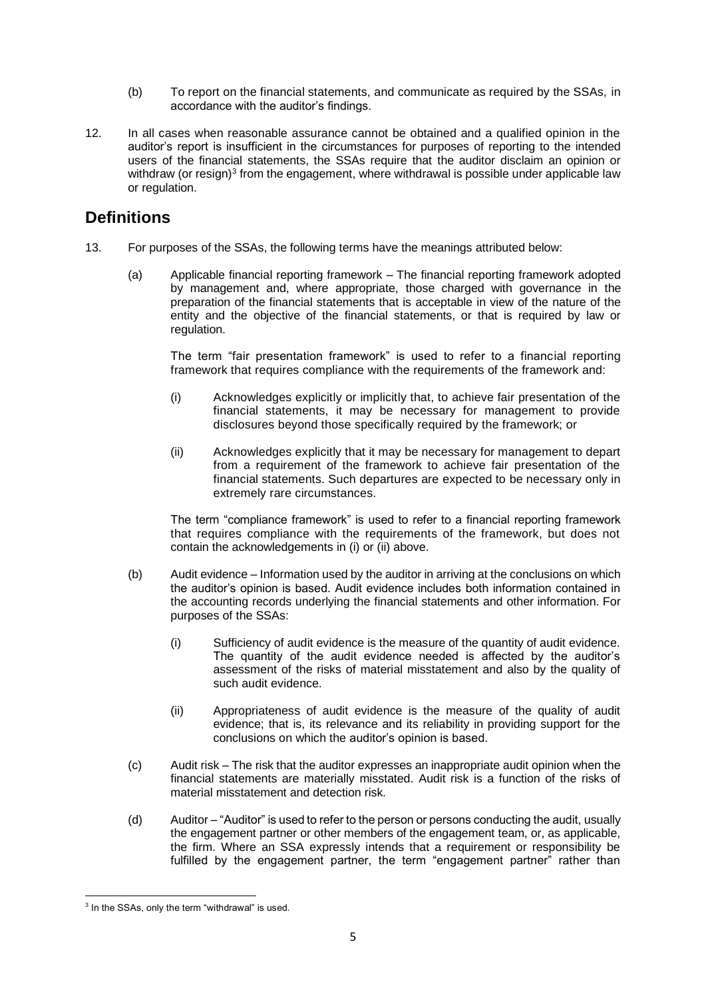- (b) To report on the financial statements, and communicate as required by the SSAs, in accordance with the auditor's findings.
- 12. In all cases when reasonable assurance cannot be obtained and a qualified opinion in the auditor's report is insufficient in the circumstances for purposes of reporting to the intended users of the financial statements, the SSAs require that the auditor disclaim an opinion or withdraw (or resign)<sup>3</sup> from the engagement, where withdrawal is possible under applicable law or regulation.

## **Definitions**

- 13. For purposes of the SSAs, the following terms have the meanings attributed below:
	- (a) Applicable financial reporting framework The financial reporting framework adopted by management and, where appropriate, those charged with governance in the preparation of the financial statements that is acceptable in view of the nature of the entity and the objective of the financial statements, or that is required by law or regulation.

The term "fair presentation framework" is used to refer to a financial reporting framework that requires compliance with the requirements of the framework and:

- (i) Acknowledges explicitly or implicitly that, to achieve fair presentation of the financial statements, it may be necessary for management to provide disclosures beyond those specifically required by the framework; or
- (ii) Acknowledges explicitly that it may be necessary for management to depart from a requirement of the framework to achieve fair presentation of the financial statements. Such departures are expected to be necessary only in extremely rare circumstances.

The term "compliance framework" is used to refer to a financial reporting framework that requires compliance with the requirements of the framework, but does not contain the acknowledgements in (i) or (ii) above.

- (b) Audit evidence Information used by the auditor in arriving at the conclusions on which the auditor's opinion is based. Audit evidence includes both information contained in the accounting records underlying the financial statements and other information. For purposes of the SSAs:
	- (i) Sufficiency of audit evidence is the measure of the quantity of audit evidence. The quantity of the audit evidence needed is affected by the auditor's assessment of the risks of material misstatement and also by the quality of such audit evidence.
	- (ii) Appropriateness of audit evidence is the measure of the quality of audit evidence; that is, its relevance and its reliability in providing support for the conclusions on which the auditor's opinion is based.
- (c) Audit risk The risk that the auditor expresses an inappropriate audit opinion when the financial statements are materially misstated. Audit risk is a function of the risks of material misstatement and detection risk.
- (d) Auditor "Auditor" is used to refer to the person or persons conducting the audit, usually the engagement partner or other members of the engagement team, or, as applicable, the firm. Where an SSA expressly intends that a requirement or responsibility be fulfilled by the engagement partner, the term "engagement partner" rather than

<sup>&</sup>lt;sup>3</sup> In the SSAs, only the term "withdrawal" is used.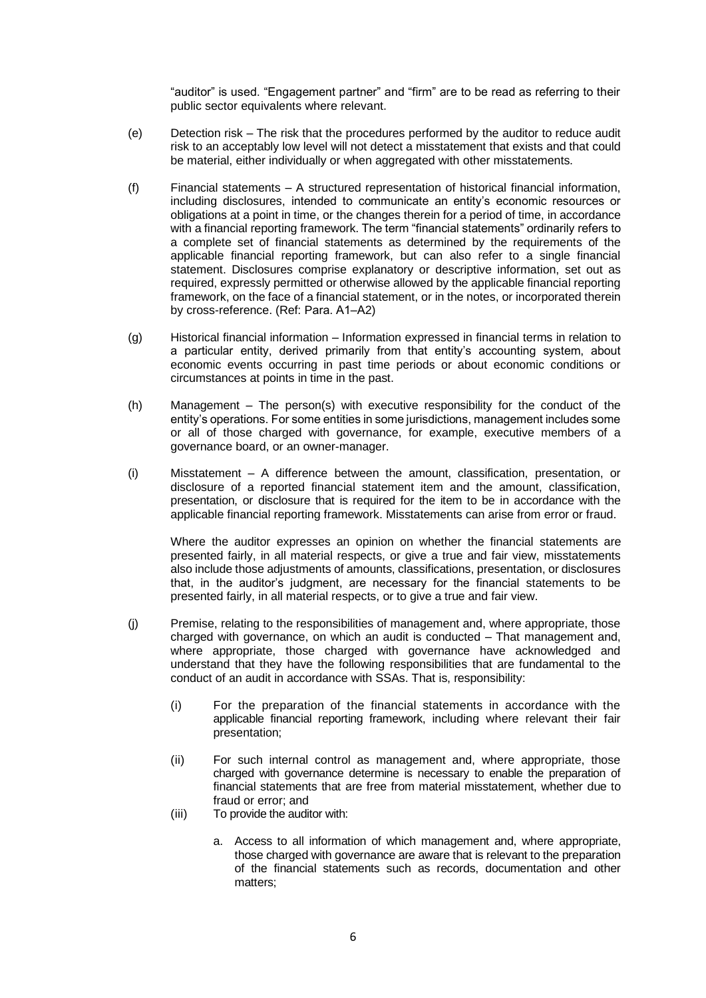"auditor" is used. "Engagement partner" and "firm" are to be read as referring to their public sector equivalents where relevant.

- (e) Detection risk The risk that the procedures performed by the auditor to reduce audit risk to an acceptably low level will not detect a misstatement that exists and that could be material, either individually or when aggregated with other misstatements.
- (f) Financial statements A structured representation of historical financial information, including disclosures, intended to communicate an entity's economic resources or obligations at a point in time, or the changes therein for a period of time, in accordance with a financial reporting framework. The term "financial statements" ordinarily refers to a complete set of financial statements as determined by the requirements of the applicable financial reporting framework, but can also refer to a single financial statement. Disclosures comprise explanatory or descriptive information, set out as required, expressly permitted or otherwise allowed by the applicable financial reporting framework, on the face of a financial statement, or in the notes, or incorporated therein by cross-reference. (Ref: Para. A1-A2)
- (g) Historical financial information Information expressed in financial terms in relation to a particular entity, derived primarily from that entity's accounting system, about economic events occurring in past time periods or about economic conditions or circumstances at points in time in the past.
- (h) Management The person(s) with executive responsibility for the conduct of the entity's operations. For some entities in some jurisdictions, management includes some or all of those charged with governance, for example, executive members of a governance board, or an owner-manager.
- (i) Misstatement A difference between the amount, classification, presentation, or disclosure of a reported financial statement item and the amount, classification, presentation, or disclosure that is required for the item to be in accordance with the applicable financial reporting framework. Misstatements can arise from error or fraud.

Where the auditor expresses an opinion on whether the financial statements are presented fairly, in all material respects, or give a true and fair view, misstatements also include those adjustments of amounts, classifications, presentation, or disclosures that, in the auditor's judgment, are necessary for the financial statements to be presented fairly, in all material respects, or to give a true and fair view.

- (j) Premise, relating to the responsibilities of management and, where appropriate, those charged with governance, on which an audit is conducted – That management and, where appropriate, those charged with governance have acknowledged and understand that they have the following responsibilities that are fundamental to the conduct of an audit in accordance with SSAs. That is, responsibility:
	- (i) For the preparation of the financial statements in accordance with the applicable financial reporting framework, including where relevant their fair presentation;
	- (ii) For such internal control as management and, where appropriate, those charged with governance determine is necessary to enable the preparation of financial statements that are free from material misstatement, whether due to fraud or error; and
	- (iii) To provide the auditor with:
		- a. Access to all information of which management and, where appropriate, those charged with governance are aware that is relevant to the preparation of the financial statements such as records, documentation and other matters;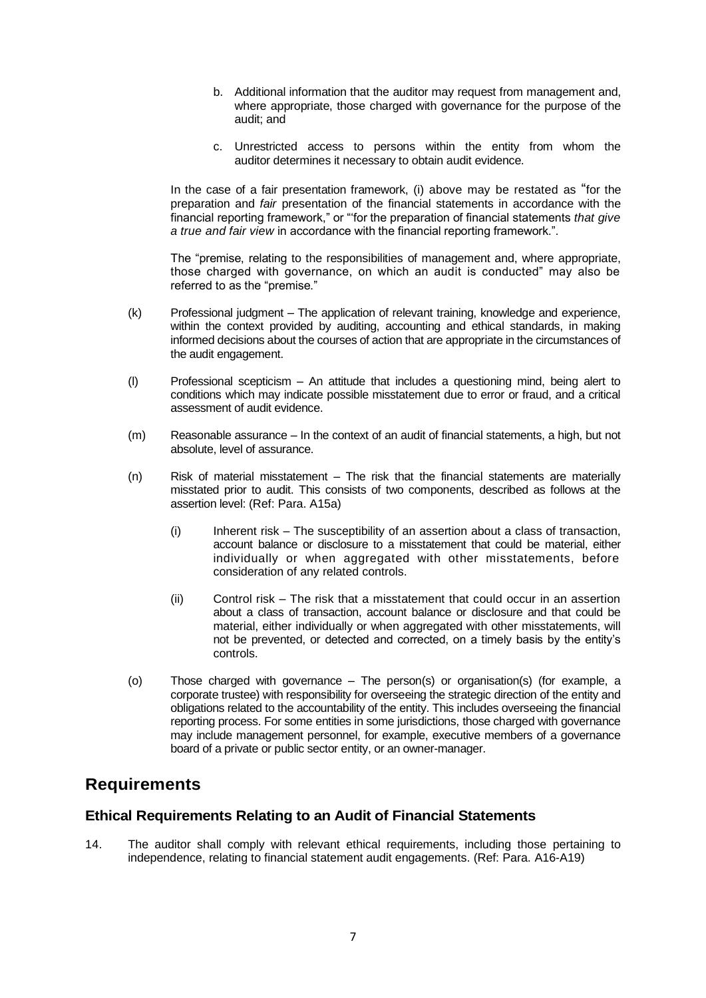- b. Additional information that the auditor may request from management and, where appropriate, those charged with governance for the purpose of the audit; and
- c. Unrestricted access to persons within the entity from whom the auditor determines it necessary to obtain audit evidence.

In the case of a fair presentation framework, (i) above may be restated as "for the preparation and *fair* presentation of the financial statements in accordance with the financial reporting framework," or "'for the preparation of financial statements *that give a true and fair view* in accordance with the financial reporting framework.".

The "premise, relating to the responsibilities of management and, where appropriate, those charged with governance, on which an audit is conducted" may also be referred to as the "premise."

- (k) Professional judgment The application of relevant training, knowledge and experience, within the context provided by auditing, accounting and ethical standards, in making informed decisions about the courses of action that are appropriate in the circumstances of the audit engagement.
- (l) Professional scepticism An attitude that includes a questioning mind, being alert to conditions which may indicate possible misstatement due to error or fraud, and a critical assessment of audit evidence.
- (m) Reasonable assurance In the context of an audit of financial statements, a high, but not absolute, level of assurance.
- (n) Risk of material misstatement The risk that the financial statements are materially misstated prior to audit. This consists of two components, described as follows at the assertion level: (Ref: Para. A15a)
	- (i) Inherent risk The susceptibility of an assertion about a class of transaction, account balance or disclosure to a misstatement that could be material, either individually or when aggregated with other misstatements, before consideration of any related controls.
	- (ii) Control risk The risk that a misstatement that could occur in an assertion about a class of transaction, account balance or disclosure and that could be material, either individually or when aggregated with other misstatements, will not be prevented, or detected and corrected, on a timely basis by the entity's controls.
- (o) Those charged with governance The person(s) or organisation(s) (for example, a corporate trustee) with responsibility for overseeing the strategic direction of the entity and obligations related to the accountability of the entity. This includes overseeing the financial reporting process. For some entities in some jurisdictions, those charged with governance may include management personnel, for example, executive members of a governance board of a private or public sector entity, or an owner-manager.

## **Requirements**

### **Ethical Requirements Relating to an Audit of Financial Statements**

14. The auditor shall comply with relevant ethical requirements, including those pertaining to independence, relating to financial statement audit engagements. (Ref: Para. A16-A19)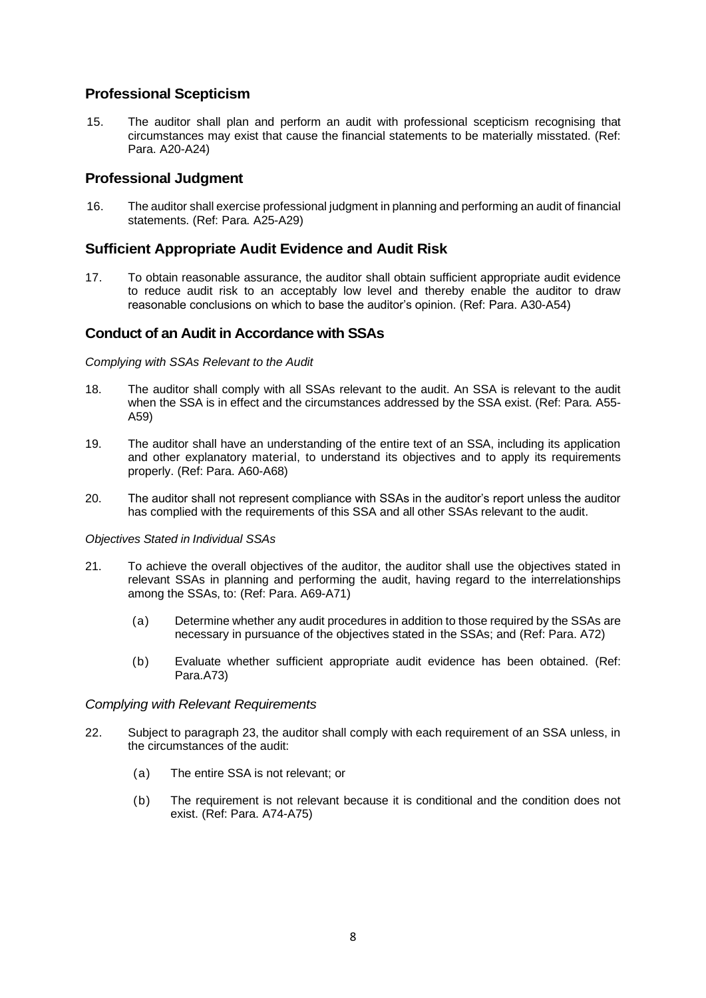## **Professional Scepticism**

15. The auditor shall plan and perform an audit with professional scepticism recognising that circumstances may exist that cause the financial statements to be materially misstated. (Ref: Para. A20-A24)

### **Professional Judgment**

16. The auditor shall exercise professional judgment in planning and performing an audit of financial statements. (Ref: Para. A25-A29)

### **Sufficient Appropriate Audit Evidence and Audit Risk**

17. To obtain reasonable assurance, the auditor shall obtain sufficient appropriate audit evidence to reduce audit risk to an acceptably low level and thereby enable the auditor to draw reasonable conclusions on which to base the auditor's opinion. (Ref: Para. A30-A54)

### **Conduct of an Audit in Accordance with SSAs**

*Complying with SSAs Relevant to the Audit*

- 18. The auditor shall comply with all SSAs relevant to the audit. An SSA is relevant to the audit when the SSA is in effect and the circumstances addressed by the SSA exist. (Ref: Para. A55- A59)
- 19. The auditor shall have an understanding of the entire text of an SSA, including its application and other explanatory material, to understand its objectives and to apply its requirements properly. (Ref: Para. A60-A68)
- 20. The auditor shall not represent compliance with SSAs in the auditor's report unless the auditor has complied with the requirements of this SSA and all other SSAs relevant to the audit.

#### *Objectives Stated in Individual SSAs*

- 21. To achieve the overall objectives of the auditor, the auditor shall use the objectives stated in relevant SSAs in planning and performing the audit, having regard to the interrelationships among the SSAs, to: (Ref: Para. A69-A71)
	- (a) Determine whether any audit procedures in addition to those required by the SSAs are necessary in pursuance of the objectives stated in the SSAs; and (Ref: Para. A72)
	- (b) Evaluate whether sufficient appropriate audit evidence has been obtained. (Ref: Para.A73)

#### *Complying with Relevant Requirements*

- 22. Subject to paragraph 23, the auditor shall comply with each requirement of an SSA unless, in the circumstances of the audit:
	- (a) The entire SSA is not relevant; or
	- (b) The requirement is not relevant because it is conditional and the condition does not exist. (Ref: Para. A74-A75)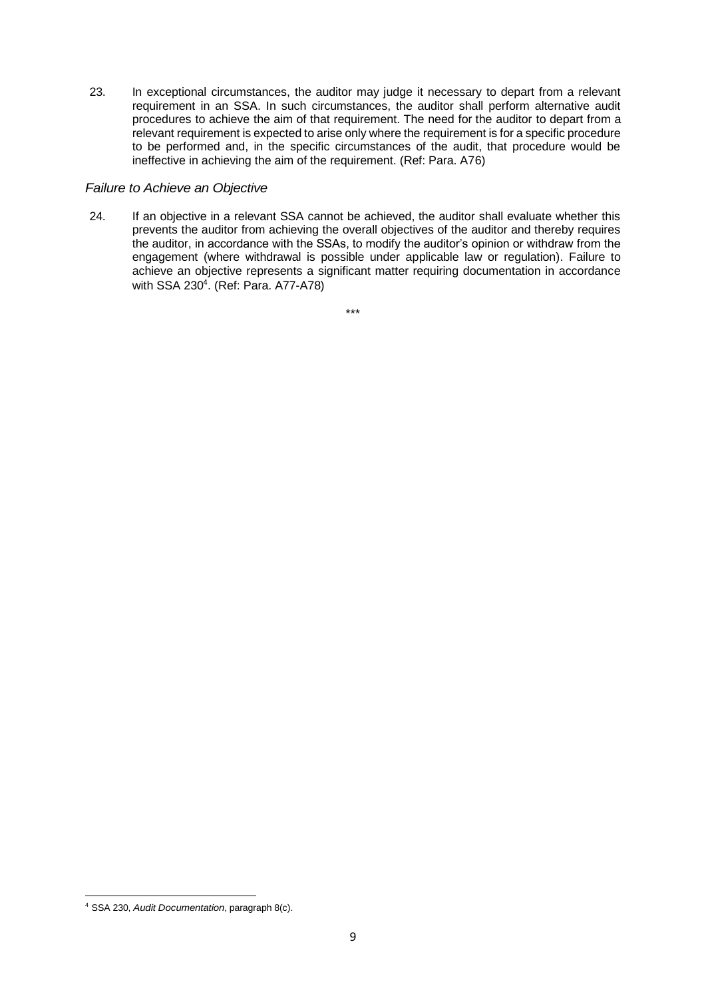23. In exceptional circumstances, the auditor may judge it necessary to depart from a relevant requirement in an SSA. In such circumstances, the auditor shall perform alternative audit procedures to achieve the aim of that requirement. The need for the auditor to depart from a relevant requirement is expected to arise only where the requirement is for a specific procedure to be performed and, in the specific circumstances of the audit, that procedure would be ineffective in achieving the aim of the requirement. (Ref: Para. A76)

#### *Failure to Achieve an Objective*

24. If an objective in a relevant SSA cannot be achieved, the auditor shall evaluate whether this prevents the auditor from achieving the overall objectives of the auditor and thereby requires the auditor, in accordance with the SSAs, to modify the auditor's opinion or withdraw from the engagement (where withdrawal is possible under applicable law or regulation). Failure to achieve an objective represents a significant matter requiring documentation in accordance with SSA 230<sup>4</sup>. (Ref: Para. A77-A78)

\*\*\*

<sup>4</sup> SSA 230, *Audit Documentation*, paragraph 8(c).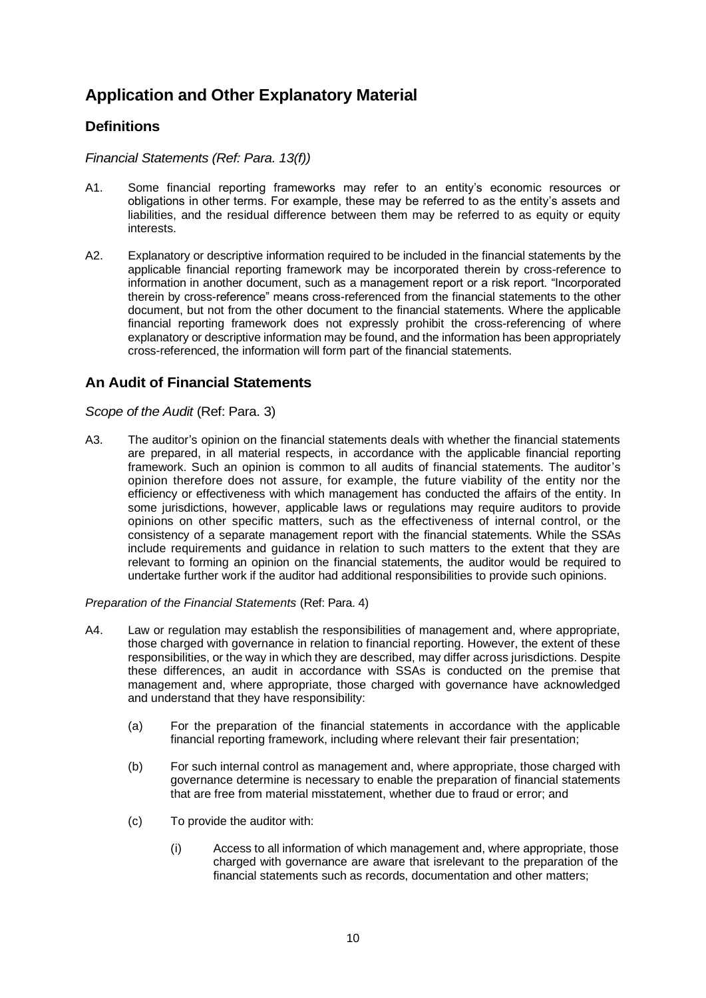## **Application and Other Explanatory Material**

## **Definitions**

#### *Financial Statements (Ref: Para. 13(f))*

- A1. Some financial reporting frameworks may refer to an entity's economic resources or obligations in other terms. For example, these may be referred to as the entity's assets and liabilities, and the residual difference between them may be referred to as equity or equity interests.
- A2. Explanatory or descriptive information required to be included in the financial statements by the applicable financial reporting framework may be incorporated therein by cross-reference to information in another document, such as a management report or a risk report. "Incorporated therein by cross-reference" means cross-referenced from the financial statements to the other document, but not from the other document to the financial statements. Where the applicable financial reporting framework does not expressly prohibit the cross-referencing of where explanatory or descriptive information may be found, and the information has been appropriately cross-referenced, the information will form part of the financial statements.

## **An Audit of Financial Statements**

#### *Scope of the Audit* (Ref: Para. 3)

A3. The auditor's opinion on the financial statements deals with whether the financial statements are prepared, in all material respects, in accordance with the applicable financial reporting framework. Such an opinion is common to all audits of financial statements. The auditor's opinion therefore does not assure, for example, the future viability of the entity nor the efficiency or effectiveness with which management has conducted the affairs of the entity. In some jurisdictions, however, applicable laws or regulations may require auditors to provide opinions on other specific matters, such as the effectiveness of internal control, or the consistency of a separate management report with the financial statements. While the SSAs include requirements and guidance in relation to such matters to the extent that they are relevant to forming an opinion on the financial statements, the auditor would be required to undertake further work if the auditor had additional responsibilities to provide such opinions.

#### *Preparation of the Financial Statements* (Ref: Para. 4)

- A4. Law or regulation may establish the responsibilities of management and, where appropriate, those charged with governance in relation to financial reporting. However, the extent of these responsibilities, or the way in which they are described, may differ across jurisdictions. Despite these differences, an audit in accordance with SSAs is conducted on the premise that management and, where appropriate, those charged with governance have acknowledged and understand that they have responsibility:
	- (a) For the preparation of the financial statements in accordance with the applicable financial reporting framework, including where relevant their fair presentation;
	- (b) For such internal control as management and, where appropriate, those charged with governance determine is necessary to enable the preparation of financial statements that are free from material misstatement, whether due to fraud or error; and
	- (c) To provide the auditor with:
		- (i) Access to all information of which management and, where appropriate, those charged with governance are aware that isrelevant to the preparation of the financial statements such as records, documentation and other matters;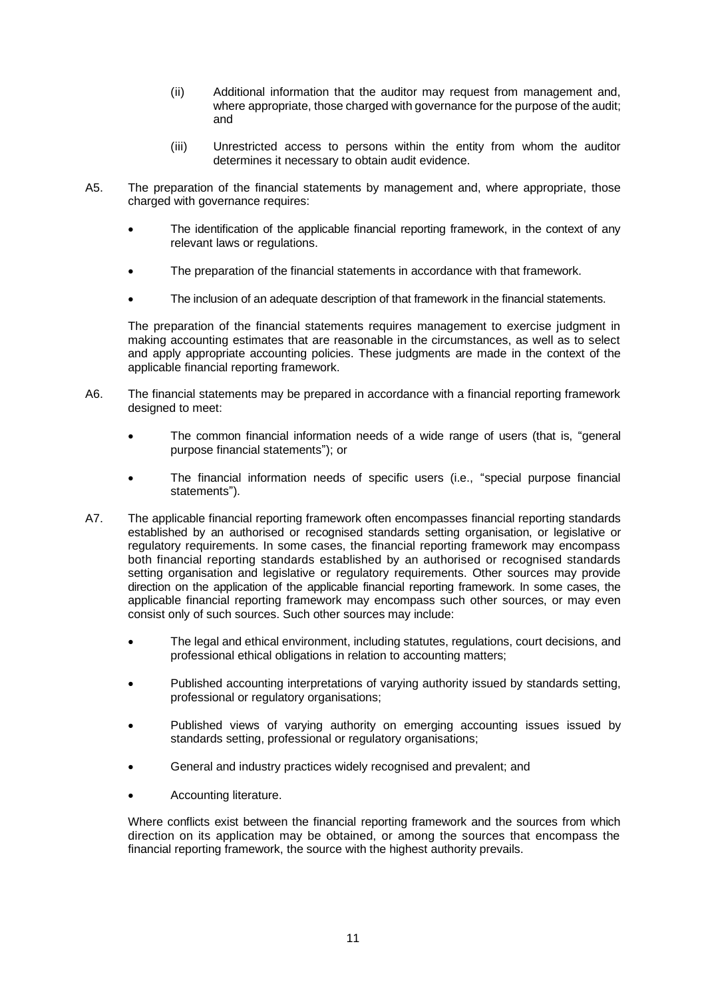- (ii) Additional information that the auditor may request from management and, where appropriate, those charged with governance for the purpose of the audit; and
- (iii) Unrestricted access to persons within the entity from whom the auditor determines it necessary to obtain audit evidence.
- A5. The preparation of the financial statements by management and, where appropriate, those charged with governance requires:
	- The identification of the applicable financial reporting framework, in the context of any relevant laws or regulations.
	- The preparation of the financial statements in accordance with that framework.
	- The inclusion of an adequate description of that framework in the financial statements.

The preparation of the financial statements requires management to exercise judgment in making accounting estimates that are reasonable in the circumstances, as well as to select and apply appropriate accounting policies. These judgments are made in the context of the applicable financial reporting framework.

- A6. The financial statements may be prepared in accordance with a financial reporting framework designed to meet:
	- The common financial information needs of a wide range of users (that is, "general purpose financial statements"); or
	- The financial information needs of specific users (i.e., "special purpose financial statements").
- A7. The applicable financial reporting framework often encompasses financial reporting standards established by an authorised or recognised standards setting organisation, or legislative or regulatory requirements. In some cases, the financial reporting framework may encompass both financial reporting standards established by an authorised or recognised standards setting organisation and legislative or regulatory requirements. Other sources may provide direction on the application of the applicable financial reporting framework. In some cases, the applicable financial reporting framework may encompass such other sources, or may even consist only of such sources. Such other sources may include:
	- The legal and ethical environment, including statutes, regulations, court decisions, and professional ethical obligations in relation to accounting matters;
	- Published accounting interpretations of varying authority issued by standards setting, professional or regulatory organisations;
	- Published views of varying authority on emerging accounting issues issued by standards setting, professional or regulatory organisations;
	- General and industry practices widely recognised and prevalent; and
	- Accounting literature.

Where conflicts exist between the financial reporting framework and the sources from which direction on its application may be obtained, or among the sources that encompass the financial reporting framework, the source with the highest authority prevails.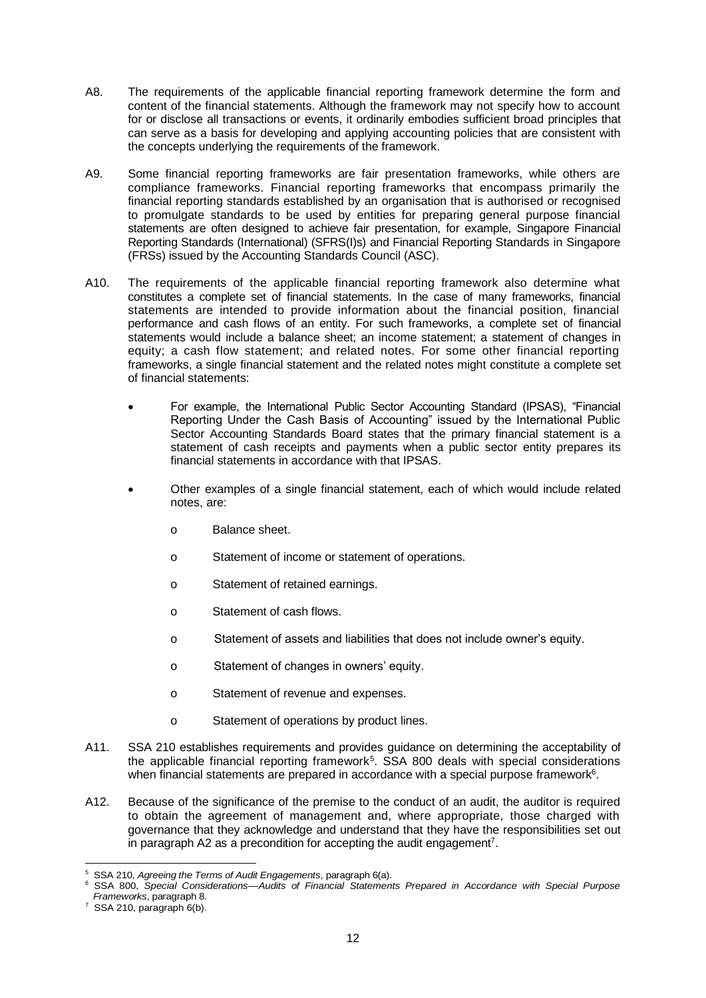- A8. The requirements of the applicable financial reporting framework determine the form and content of the financial statements. Although the framework may not specify how to account for or disclose all transactions or events, it ordinarily embodies sufficient broad principles that can serve as a basis for developing and applying accounting policies that are consistent with the concepts underlying the requirements of the framework.
- A9. Some financial reporting frameworks are fair presentation frameworks, while others are compliance frameworks. Financial reporting frameworks that encompass primarily the financial reporting standards established by an organisation that is authorised or recognised to promulgate standards to be used by entities for preparing general purpose financial statements are often designed to achieve fair presentation, for example, Singapore Financial Reporting Standards (International) (SFRS(I)s) and Financial Reporting Standards in Singapore (FRSs) issued by the Accounting Standards Council (ASC).
- A10. The requirements of the applicable financial reporting framework also determine what constitutes a complete set of financial statements. In the case of many frameworks, financial statements are intended to provide information about the financial position, financial performance and cash flows of an entity. For such frameworks, a complete set of financial statements would include a balance sheet; an income statement; a statement of changes in equity; a cash flow statement; and related notes. For some other financial reporting frameworks, a single financial statement and the related notes might constitute a complete set of financial statements:
	- For example, the International Public Sector Accounting Standard (IPSAS), "Financial Reporting Under the Cash Basis of Accounting" issued by the International Public Sector Accounting Standards Board states that the primary financial statement is a statement of cash receipts and payments when a public sector entity prepares its financial statements in accordance with that IPSAS.
	- Other examples of a single financial statement, each of which would include related notes, are:
		- o Balance sheet.
		- o Statement of income or statement of operations.
		- o Statement of retained earnings.
		- o Statement of cash flows.
		- o Statement of assets and liabilities that does not include owner's equity.
		- o Statement of changes in owners' equity.
		- o Statement of revenue and expenses.
		- o Statement of operations by product lines.
- A11. SSA 210 establishes requirements and provides guidance on determining the acceptability of the applicable financial reporting framework<sup>5</sup>. SSA 800 deals with special considerations when financial statements are prepared in accordance with a special purpose framework $6$ .
- A12. Because of the significance of the premise to the conduct of an audit, the auditor is required to obtain the agreement of management and, where appropriate, those charged with governance that they acknowledge and understand that they have the responsibilities set out in paragraph A2 as a precondition for accepting the audit engagement<sup>7</sup>.

<sup>5</sup> SSA 210, *Agreeing the Terms of Audit Engagements*, paragraph 6(a).

<sup>6</sup> SSA 800, *Special Considerations—Audits of Financial Statements Prepared in Accordance with Special Purpose Frameworks*, paragraph 8.

 $7$  SSA 210, paragraph 6(b).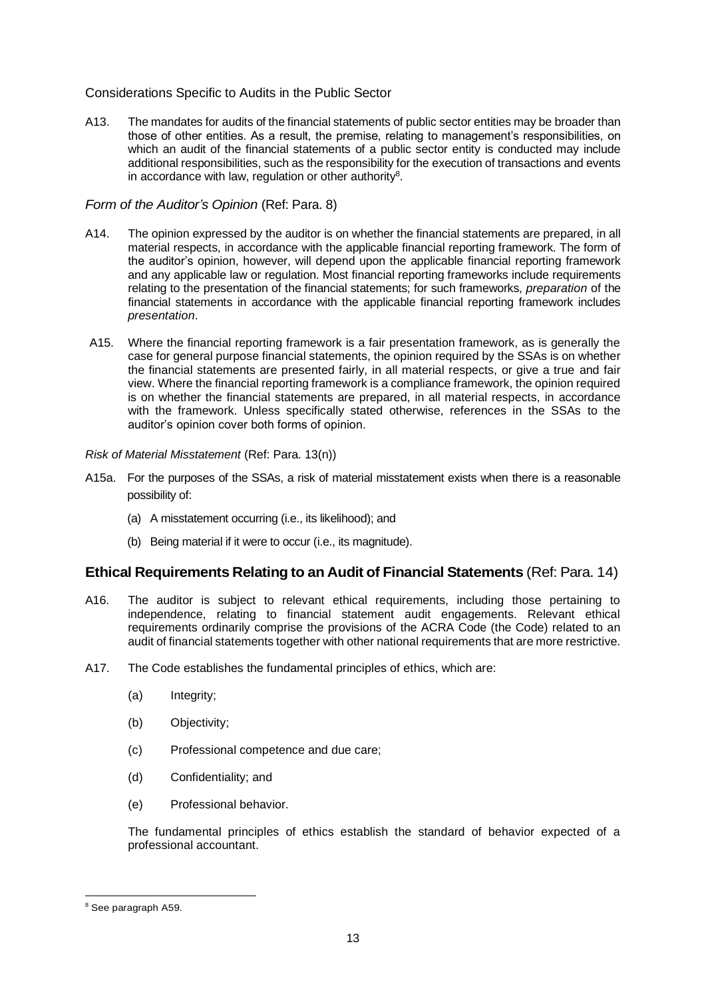#### Considerations Specific to Audits in the Public Sector

A13. The mandates for audits of the financial statements of public sector entities may be broader than those of other entities. As a result, the premise, relating to management's responsibilities, on which an audit of the financial statements of a public sector entity is conducted may include additional responsibilities, such as the responsibility for the execution of transactions and events in accordance with law, regulation or other authority<sup>8</sup>.

#### *Form of the Auditor's Opinion* (Ref: Para. 8)

- A14. The opinion expressed by the auditor is on whether the financial statements are prepared, in all material respects, in accordance with the applicable financial reporting framework. The form of the auditor's opinion, however, will depend upon the applicable financial reporting framework and any applicable law or regulation. Most financial reporting frameworks include requirements relating to the presentation of the financial statements; for such frameworks, *preparation* of the financial statements in accordance with the applicable financial reporting framework includes *presentation*.
- A15. Where the financial reporting framework is a fair presentation framework, as is generally the case for general purpose financial statements, the opinion required by the SSAs is on whether the financial statements are presented fairly, in all material respects, or give a true and fair view. Where the financial reporting framework is a compliance framework, the opinion required is on whether the financial statements are prepared, in all material respects, in accordance with the framework. Unless specifically stated otherwise, references in the SSAs to the auditor's opinion cover both forms of opinion.

#### *Risk of Material Misstatement* (Ref: Para. 13(n))

- A15a. For the purposes of the SSAs, a risk of material misstatement exists when there is a reasonable possibility of:
	- (a) A misstatement occurring (i.e., its likelihood); and
	- (b) Being material if it were to occur (i.e., its magnitude).

### **Ethical Requirements Relating to an Audit of Financial Statements** (Ref: Para. 14)

- A16. The auditor is subject to relevant ethical requirements, including those pertaining to independence, relating to financial statement audit engagements. Relevant ethical requirements ordinarily comprise the provisions of the ACRA Code (the Code) related to an audit of financial statements together with other national requirements that are more restrictive.
- A17. The Code establishes the fundamental principles of ethics, which are:
	- (a) Integrity;
	- (b) Objectivity;
	- (c) Professional competence and due care;
	- (d) Confidentiality; and
	- (e) Professional behavior.

The fundamental principles of ethics establish the standard of behavior expected of a professional accountant.

<sup>&</sup>lt;sup>8</sup> See paragraph A59.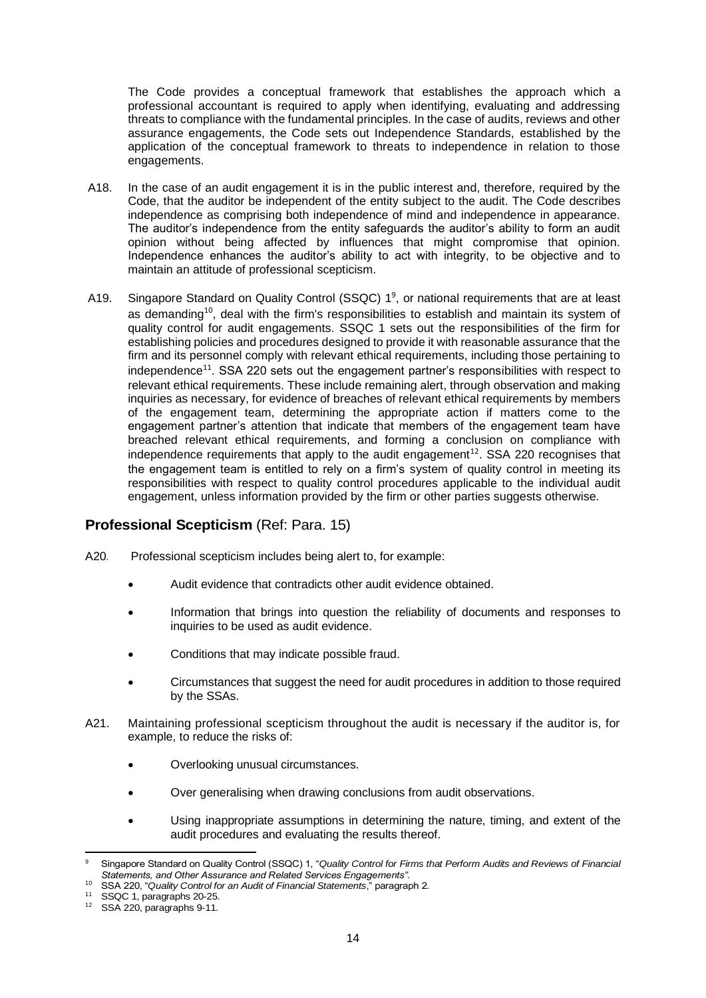The Code provides a conceptual framework that establishes the approach which a professional accountant is required to apply when identifying, evaluating and addressing threats to compliance with the fundamental principles. In the case of audits, reviews and other assurance engagements, the Code sets out Independence Standards, established by the application of the conceptual framework to threats to independence in relation to those engagements.

- A18. In the case of an audit engagement it is in the public interest and, therefore, required by the Code, that the auditor be independent of the entity subject to the audit. The Code describes independence as comprising both independence of mind and independence in appearance. The auditor's independence from the entity safeguards the auditor's ability to form an audit opinion without being affected by influences that might compromise that opinion. Independence enhances the auditor's ability to act with integrity, to be objective and to maintain an attitude of professional scepticism.
- A19. Singapore Standard on Quality Control (SSQC) 1<sup>9</sup>, or national requirements that are at least as demanding<sup>10</sup>, deal with the firm's responsibilities to establish and maintain its system of quality control for audit engagements. SSQC 1 sets out the responsibilities of the firm for establishing policies and procedures designed to provide it with reasonable assurance that the firm and its personnel comply with relevant ethical requirements, including those pertaining to independence<sup>11</sup>. SSA 220 sets out the engagement partner's responsibilities with respect to relevant ethical requirements. These include remaining alert, through observation and making inquiries as necessary, for evidence of breaches of relevant ethical requirements by members of the engagement team, determining the appropriate action if matters come to the engagement partner's attention that indicate that members of the engagement team have breached relevant ethical requirements, and forming a conclusion on compliance with independence requirements that apply to the audit engagement<sup>12</sup>. SSA 220 recognises that the engagement team is entitled to rely on a firm's system of quality control in meeting its responsibilities with respect to quality control procedures applicable to the individual audit engagement, unless information provided by the firm or other parties suggests otherwise.

## **Professional Scepticism** (Ref: Para. 15)

- A20. Professional scepticism includes being alert to, for example:
	- Audit evidence that contradicts other audit evidence obtained.
	- Information that brings into question the reliability of documents and responses to inquiries to be used as audit evidence.
	- Conditions that may indicate possible fraud.
	- Circumstances that suggest the need for audit procedures in addition to those required by the SSAs.
- A21. Maintaining professional scepticism throughout the audit is necessary if the auditor is, for example, to reduce the risks of:
	- Overlooking unusual circumstances.
	- Over generalising when drawing conclusions from audit observations.
	- Using inappropriate assumptions in determining the nature, timing, and extent of the audit procedures and evaluating the results thereof.

Singapore Standard on Quality Control (SSQC) 1, "*Quality Control for Firms that Perform Audits and Reviews of Financial Statements, and Other Assurance and Related Services Engagements"*.

<sup>10</sup> SSA 220, "*Quality Control for an Audit of Financial Statements*," paragraph 2.

<sup>11</sup> SSQC 1, paragraphs 20-25.

<sup>12</sup> SSA 220, paragraphs 9-11.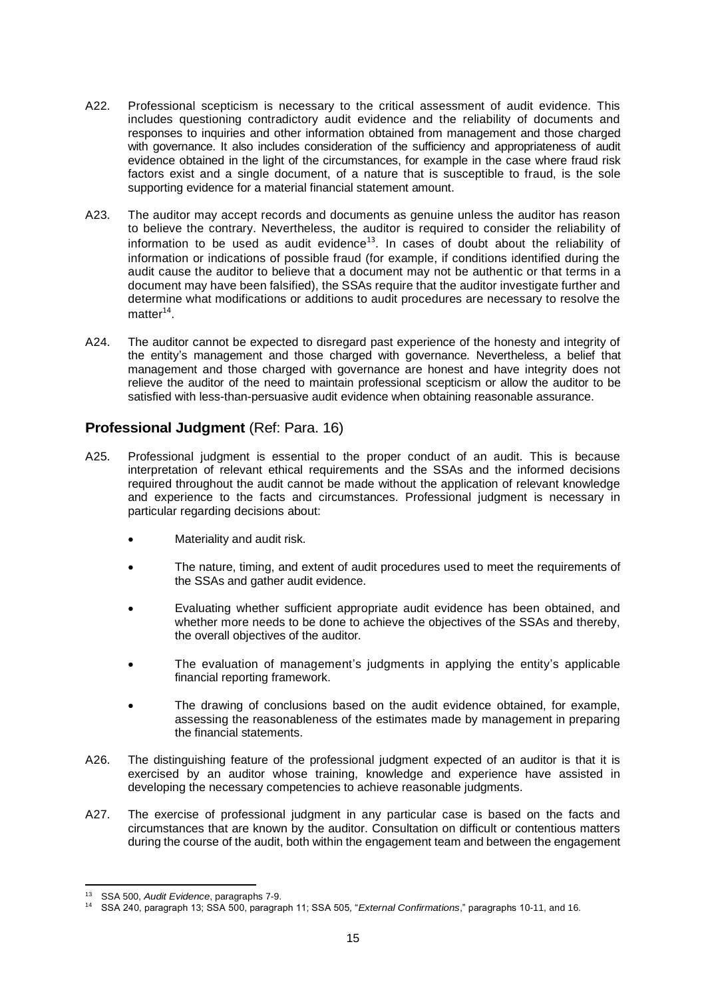- A22. Professional scepticism is necessary to the critical assessment of audit evidence. This includes questioning contradictory audit evidence and the reliability of documents and responses to inquiries and other information obtained from management and those charged with governance. It also includes consideration of the sufficiency and appropriateness of audit evidence obtained in the light of the circumstances, for example in the case where fraud risk factors exist and a single document, of a nature that is susceptible to fraud, is the sole supporting evidence for a material financial statement amount.
- A23. The auditor may accept records and documents as genuine unless the auditor has reason to believe the contrary. Nevertheless, the auditor is required to consider the reliability of information to be used as audit evidence<sup>13</sup>. In cases of doubt about the reliability of information or indications of possible fraud (for example, if conditions identified during the audit cause the auditor to believe that a document may not be authentic or that terms in a document may have been falsified), the SSAs require that the auditor investigate further and determine what modifications or additions to audit procedures are necessary to resolve the  $matter<sup>14</sup>$ .
- A24. The auditor cannot be expected to disregard past experience of the honesty and integrity of the entity's management and those charged with governance. Nevertheless, a belief that management and those charged with governance are honest and have integrity does not relieve the auditor of the need to maintain professional scepticism or allow the auditor to be satisfied with less-than-persuasive audit evidence when obtaining reasonable assurance.

## **Professional Judgment** (Ref: Para. 16)

- A25. Professional judgment is essential to the proper conduct of an audit. This is because interpretation of relevant ethical requirements and the SSAs and the informed decisions required throughout the audit cannot be made without the application of relevant knowledge and experience to the facts and circumstances. Professional judgment is necessary in particular regarding decisions about:
	- Materiality and audit risk.
	- The nature, timing, and extent of audit procedures used to meet the requirements of the SSAs and gather audit evidence.
	- Evaluating whether sufficient appropriate audit evidence has been obtained, and whether more needs to be done to achieve the objectives of the SSAs and thereby, the overall objectives of the auditor.
	- The evaluation of management's judgments in applying the entity's applicable financial reporting framework.
	- The drawing of conclusions based on the audit evidence obtained, for example, assessing the reasonableness of the estimates made by management in preparing the financial statements.
- A26. The distinguishing feature of the professional judgment expected of an auditor is that it is exercised by an auditor whose training, knowledge and experience have assisted in developing the necessary competencies to achieve reasonable judgments.
- A27. The exercise of professional judgment in any particular case is based on the facts and circumstances that are known by the auditor. Consultation on difficult or contentious matters during the course of the audit, both within the engagement team and between the engagement

<sup>13</sup> SSA 500, *Audit Evidence*, paragraphs 7-9.

<sup>14</sup> SSA 240, paragraph 13; SSA 500, paragraph 11; SSA 505, "*External Confirmations*," paragraphs 10-11, and 16.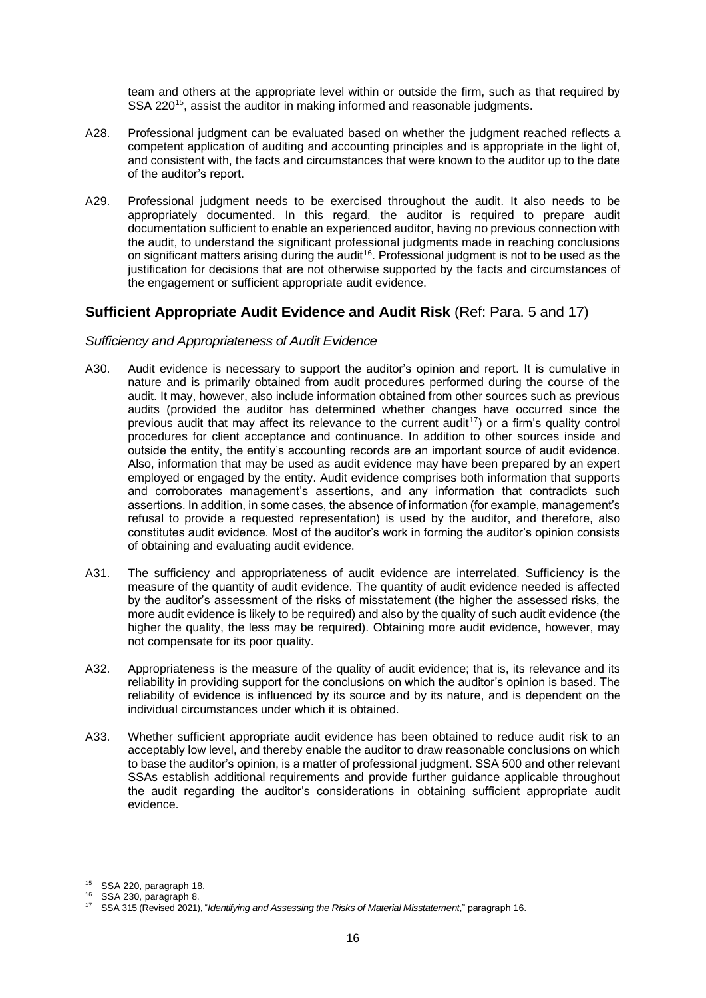team and others at the appropriate level within or outside the firm, such as that required by SSA 220<sup>15</sup>, assist the auditor in making informed and reasonable judgments.

- A28. Professional judgment can be evaluated based on whether the judgment reached reflects a competent application of auditing and accounting principles and is appropriate in the light of, and consistent with, the facts and circumstances that were known to the auditor up to the date of the auditor's report.
- A29. Professional judgment needs to be exercised throughout the audit. It also needs to be appropriately documented. In this regard, the auditor is required to prepare audit documentation sufficient to enable an experienced auditor, having no previous connection with the audit, to understand the significant professional judgments made in reaching conclusions on significant matters arising during the audit<sup>16</sup>. Professional judgment is not to be used as the justification for decisions that are not otherwise supported by the facts and circumstances of the engagement or sufficient appropriate audit evidence.

## **Sufficient Appropriate Audit Evidence and Audit Risk** (Ref: Para. 5 and 17)

#### *Sufficiency and Appropriateness of Audit Evidence*

- A30. Audit evidence is necessary to support the auditor's opinion and report. It is cumulative in nature and is primarily obtained from audit procedures performed during the course of the audit. It may, however, also include information obtained from other sources such as previous audits (provided the auditor has determined whether changes have occurred since the previous audit that may affect its relevance to the current audit<sup>17</sup>) or a firm's quality control procedures for client acceptance and continuance. In addition to other sources inside and outside the entity, the entity's accounting records are an important source of audit evidence. Also, information that may be used as audit evidence may have been prepared by an expert employed or engaged by the entity. Audit evidence comprises both information that supports and corroborates management's assertions, and any information that contradicts such assertions. In addition, in some cases, the absence of information (for example, management's refusal to provide a requested representation) is used by the auditor, and therefore, also constitutes audit evidence. Most of the auditor's work in forming the auditor's opinion consists of obtaining and evaluating audit evidence.
- A31. The sufficiency and appropriateness of audit evidence are interrelated. Sufficiency is the measure of the quantity of audit evidence. The quantity of audit evidence needed is affected by the auditor's assessment of the risks of misstatement (the higher the assessed risks, the more audit evidence is likely to be required) and also by the quality of such audit evidence (the higher the quality, the less may be required). Obtaining more audit evidence, however, may not compensate for its poor quality.
- A32. Appropriateness is the measure of the quality of audit evidence; that is, its relevance and its reliability in providing support for the conclusions on which the auditor's opinion is based. The reliability of evidence is influenced by its source and by its nature, and is dependent on the individual circumstances under which it is obtained.
- A33. Whether sufficient appropriate audit evidence has been obtained to reduce audit risk to an acceptably low level, and thereby enable the auditor to draw reasonable conclusions on which to base the auditor's opinion, is a matter of professional judgment. SSA 500 and other relevant SSAs establish additional requirements and provide further guidance applicable throughout the audit regarding the auditor's considerations in obtaining sufficient appropriate audit evidence.

<sup>15</sup> SSA 220, paragraph 18.

<sup>16</sup> SSA 230, paragraph 8.

<sup>17</sup> SSA 315 (Revised 2021), "*Identifying and Assessing the Risks of Material Misstatement*," paragraph 16.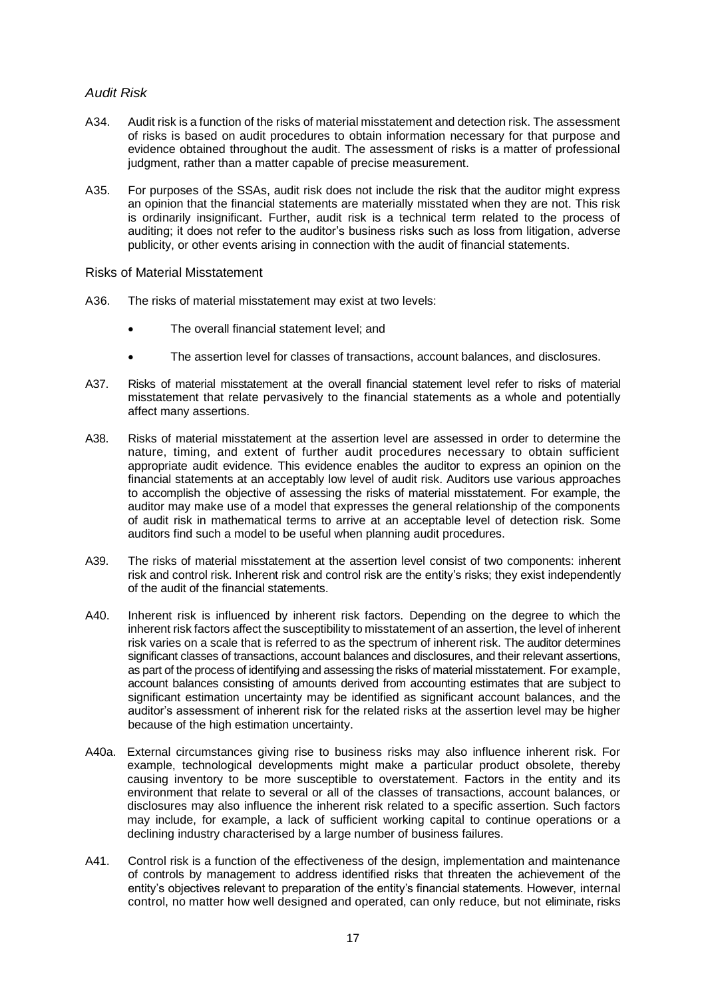#### *Audit Risk*

- A34. Audit risk is a function of the risks of material misstatement and detection risk. The assessment of risks is based on audit procedures to obtain information necessary for that purpose and evidence obtained throughout the audit. The assessment of risks is a matter of professional judgment, rather than a matter capable of precise measurement.
- A35. For purposes of the SSAs, audit risk does not include the risk that the auditor might express an opinion that the financial statements are materially misstated when they are not. This risk is ordinarily insignificant. Further, audit risk is a technical term related to the process of auditing; it does not refer to the auditor's business risks such as loss from litigation, adverse publicity, or other events arising in connection with the audit of financial statements.

Risks of Material Misstatement

- A36. The risks of material misstatement may exist at two levels:
	- The overall financial statement level; and
	- The assertion level for classes of transactions, account balances, and disclosures.
- A37. Risks of material misstatement at the overall financial statement level refer to risks of material misstatement that relate pervasively to the financial statements as a whole and potentially affect many assertions.
- A38. Risks of material misstatement at the assertion level are assessed in order to determine the nature, timing, and extent of further audit procedures necessary to obtain sufficient appropriate audit evidence. This evidence enables the auditor to express an opinion on the financial statements at an acceptably low level of audit risk. Auditors use various approaches to accomplish the objective of assessing the risks of material misstatement. For example, the auditor may make use of a model that expresses the general relationship of the components of audit risk in mathematical terms to arrive at an acceptable level of detection risk. Some auditors find such a model to be useful when planning audit procedures.
- A39. The risks of material misstatement at the assertion level consist of two components: inherent risk and control risk. Inherent risk and control risk are the entity's risks; they exist independently of the audit of the financial statements.
- A40. Inherent risk is influenced by inherent risk factors. Depending on the degree to which the inherent risk factors affect the susceptibility to misstatement of an assertion, the level of inherent risk varies on a scale that is referred to as the spectrum of inherent risk. The auditor determines significant classes of transactions, account balances and disclosures, and their relevant assertions, as part of the process of identifying and assessing the risks of material misstatement. For example, account balances consisting of amounts derived from accounting estimates that are subject to significant estimation uncertainty may be identified as significant account balances, and the auditor's assessment of inherent risk for the related risks at the assertion level may be higher because of the high estimation uncertainty.
- A40a. External circumstances giving rise to business risks may also influence inherent risk. For example, technological developments might make a particular product obsolete, thereby causing inventory to be more susceptible to overstatement. Factors in the entity and its environment that relate to several or all of the classes of transactions, account balances, or disclosures may also influence the inherent risk related to a specific assertion. Such factors may include, for example, a lack of sufficient working capital to continue operations or a declining industry characterised by a large number of business failures.
- A41. Control risk is a function of the effectiveness of the design, implementation and maintenance of controls by management to address identified risks that threaten the achievement of the entity's objectives relevant to preparation of the entity's financial statements. However, internal control, no matter how well designed and operated, can only reduce, but not eliminate, risks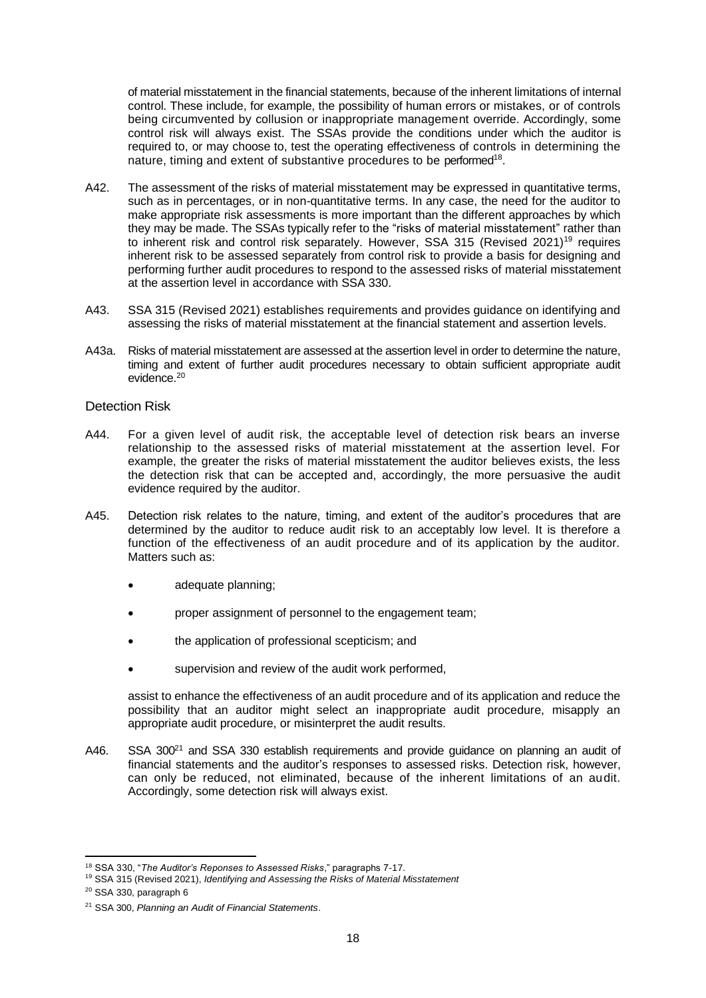of material misstatement in the financial statements, because of the inherent limitations of internal control. These include, for example, the possibility of human errors or mistakes, or of controls being circumvented by collusion or inappropriate management override. Accordingly, some control risk will always exist. The SSAs provide the conditions under which the auditor is required to, or may choose to, test the operating effectiveness of controls in determining the nature, timing and extent of substantive procedures to be performed<sup>18</sup>.

- A42. The assessment of the risks of material misstatement may be expressed in quantitative terms, such as in percentages, or in non-quantitative terms. In any case, the need for the auditor to make appropriate risk assessments is more important than the different approaches by which they may be made. The SSAs typically refer to the "risks of material misstatement" rather than to inherent risk and control risk separately. However, SSA 315 (Revised 2021)<sup>19</sup> requires inherent risk to be assessed separately from control risk to provide a basis for designing and performing further audit procedures to respond to the assessed risks of material misstatement at the assertion level in accordance with SSA 330.
- A43. SSA 315 (Revised 2021) establishes requirements and provides guidance on identifying and assessing the risks of material misstatement at the financial statement and assertion levels.
- A43a. Risks of material misstatement are assessed at the assertion level in order to determine the nature, timing and extent of further audit procedures necessary to obtain sufficient appropriate audit evidence.<sup>20</sup>

#### Detection Risk

- A44. For a given level of audit risk, the acceptable level of detection risk bears an inverse relationship to the assessed risks of material misstatement at the assertion level. For example, the greater the risks of material misstatement the auditor believes exists, the less the detection risk that can be accepted and, accordingly, the more persuasive the audit evidence required by the auditor.
- A45. Detection risk relates to the nature, timing, and extent of the auditor's procedures that are determined by the auditor to reduce audit risk to an acceptably low level. It is therefore a function of the effectiveness of an audit procedure and of its application by the auditor. Matters such as:
	- adequate planning;
	- proper assignment of personnel to the engagement team;
	- the application of professional scepticism; and
	- supervision and review of the audit work performed,

assist to enhance the effectiveness of an audit procedure and of its application and reduce the possibility that an auditor might select an inappropriate audit procedure, misapply an appropriate audit procedure, or misinterpret the audit results.

A46. SSA 300<sup>21</sup> and SSA 330 establish requirements and provide guidance on planning an audit of financial statements and the auditor's responses to assessed risks. Detection risk, however, can only be reduced, not eliminated, because of the inherent limitations of an audit. Accordingly, some detection risk will always exist.

<sup>18</sup> SSA 330, "*The Auditor's Reponses to Assessed Risks*," paragraphs 7-17.

<sup>19</sup> SSA 315 (Revised 2021), *Identifying and Assessing the Risks of Material Misstatement*

<sup>20</sup> SSA 330, paragraph 6

<sup>21</sup> SSA 300, *Planning an Audit of Financial Statements*.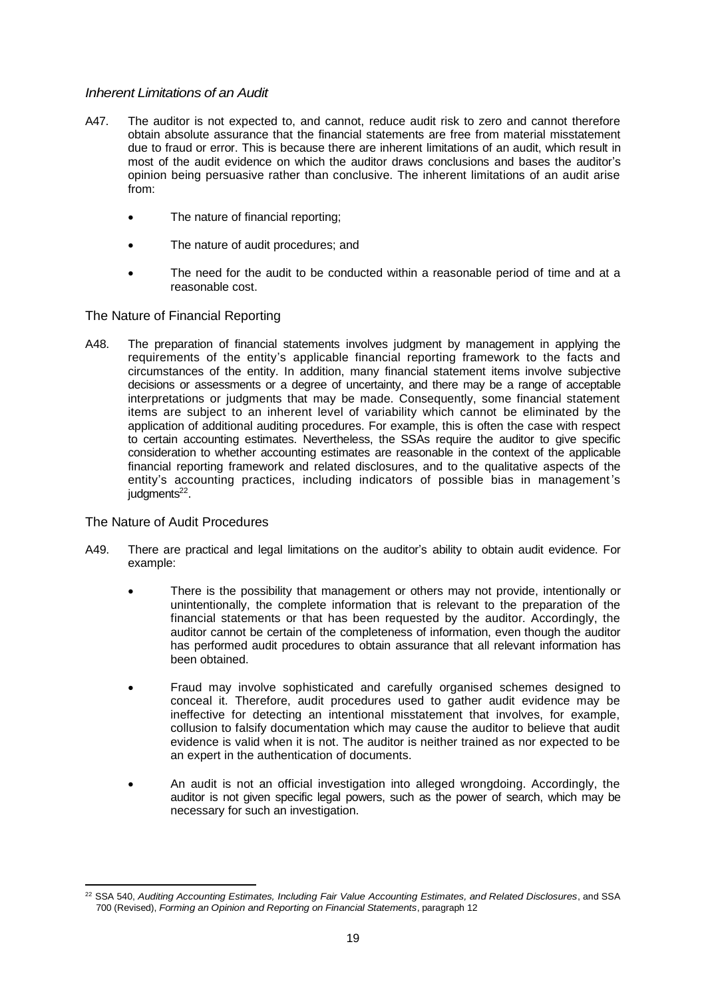#### *Inherent Limitations of an Audit*

- A47. The auditor is not expected to, and cannot, reduce audit risk to zero and cannot therefore obtain absolute assurance that the financial statements are free from material misstatement due to fraud or error. This is because there are inherent limitations of an audit, which result in most of the audit evidence on which the auditor draws conclusions and bases the auditor's opinion being persuasive rather than conclusive. The inherent limitations of an audit arise from:
	- The nature of financial reporting;
	- The nature of audit procedures; and
	- The need for the audit to be conducted within a reasonable period of time and at a reasonable cost.

### The Nature of Financial Reporting

A48. The preparation of financial statements involves judgment by management in applying the requirements of the entity's applicable financial reporting framework to the facts and circumstances of the entity. In addition, many financial statement items involve subjective decisions or assessments or a degree of uncertainty, and there may be a range of acceptable interpretations or judgments that may be made. Consequently, some financial statement items are subject to an inherent level of variability which cannot be eliminated by the application of additional auditing procedures. For example, this is often the case with respect to certain accounting estimates. Nevertheless, the SSAs require the auditor to give specific consideration to whether accounting estimates are reasonable in the context of the applicable financial reporting framework and related disclosures, and to the qualitative aspects of the entity's accounting practices, including indicators of possible bias in management 's judgments<sup>22</sup>.

#### The Nature of Audit Procedures

- A49. There are practical and legal limitations on the auditor's ability to obtain audit evidence. For example:
	- There is the possibility that management or others may not provide, intentionally or unintentionally, the complete information that is relevant to the preparation of the financial statements or that has been requested by the auditor. Accordingly, the auditor cannot be certain of the completeness of information, even though the auditor has performed audit procedures to obtain assurance that all relevant information has been obtained.
	- Fraud may involve sophisticated and carefully organised schemes designed to conceal it. Therefore, audit procedures used to gather audit evidence may be ineffective for detecting an intentional misstatement that involves, for example, collusion to falsify documentation which may cause the auditor to believe that audit evidence is valid when it is not. The auditor is neither trained as nor expected to be an expert in the authentication of documents.
	- An audit is not an official investigation into alleged wrongdoing. Accordingly, the auditor is not given specific legal powers, such as the power of search, which may be necessary for such an investigation.

<sup>22</sup> SSA 540, *Auditing Accounting Estimates, Including Fair Value Accounting Estimates, and Related Disclosures*, and SSA 700 (Revised), *Forming an Opinion and Reporting on Financial Statements*, paragraph 12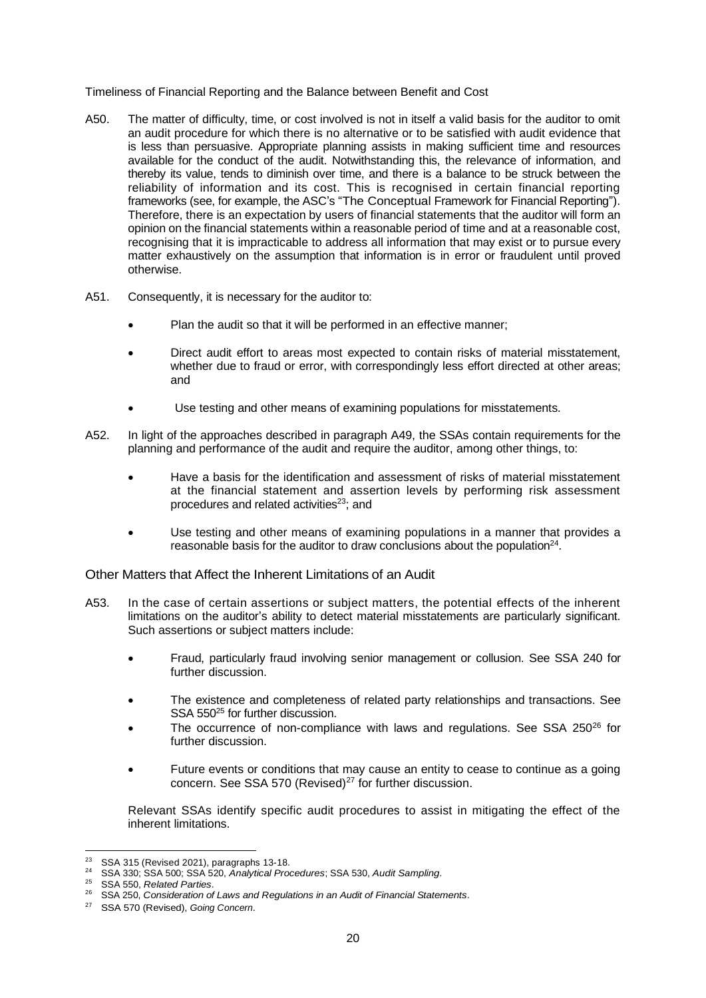Timeliness of Financial Reporting and the Balance between Benefit and Cost

- A50. The matter of difficulty, time, or cost involved is not in itself a valid basis for the auditor to omit an audit procedure for which there is no alternative or to be satisfied with audit evidence that is less than persuasive. Appropriate planning assists in making sufficient time and resources available for the conduct of the audit. Notwithstanding this, the relevance of information, and thereby its value, tends to diminish over time, and there is a balance to be struck between the reliability of information and its cost. This is recognised in certain financial reporting frameworks (see, for example, the ASC's "The Conceptual Framework for Financial Reporting"). Therefore, there is an expectation by users of financial statements that the auditor will form an opinion on the financial statements within a reasonable period of time and at a reasonable cost, recognising that it is impracticable to address all information that may exist or to pursue every matter exhaustively on the assumption that information is in error or fraudulent until proved otherwise.
- A51. Consequently, it is necessary for the auditor to:
	- Plan the audit so that it will be performed in an effective manner;
	- Direct audit effort to areas most expected to contain risks of material misstatement, whether due to fraud or error, with correspondingly less effort directed at other areas; and
	- Use testing and other means of examining populations for misstatements.
- A52. In light of the approaches described in paragraph A49, the SSAs contain requirements for the planning and performance of the audit and require the auditor, among other things, to:
	- Have a basis for the identification and assessment of risks of material misstatement at the financial statement and assertion levels by performing risk assessment procedures and related activities<sup>23</sup>; and
	- Use testing and other means of examining populations in a manner that provides a reasonable basis for the auditor to draw conclusions about the population $^{24}$ .

Other Matters that Affect the Inherent Limitations of an Audit

- A53. In the case of certain assertions or subject matters, the potential effects of the inherent limitations on the auditor's ability to detect material misstatements are particularly significant. Such assertions or subject matters include:
	- Fraud, particularly fraud involving senior management or collusion. See SSA 240 for further discussion.
	- The existence and completeness of related party relationships and transactions. See SSA 550<sup>25</sup> for further discussion.
	- The occurrence of non-compliance with laws and regulations. See SSA 250<sup>26</sup> for further discussion.
	- Future events or conditions that may cause an entity to cease to continue as a going concern. See SSA 570 (Revised)<sup>27</sup> for further discussion.

Relevant SSAs identify specific audit procedures to assist in mitigating the effect of the inherent limitations.

<sup>&</sup>lt;sup>23</sup> SSA 315 (Revised 2021), paragraphs 13-18.<br><sup>24</sup> SSA 220: SSA 500: SSA 520, Appletical Proc

<sup>24</sup> SSA 330; SSA 500; SSA 520, *Analytical Procedures*; SSA 530, *Audit Sampling*.

<sup>25</sup> SSA 550, *Related Parties*.

<sup>26</sup> SSA 250, *Consideration of Laws and Regulations in an Audit of Financial Statements*.

<sup>27</sup> SSA 570 (Revised), *Going Concern*.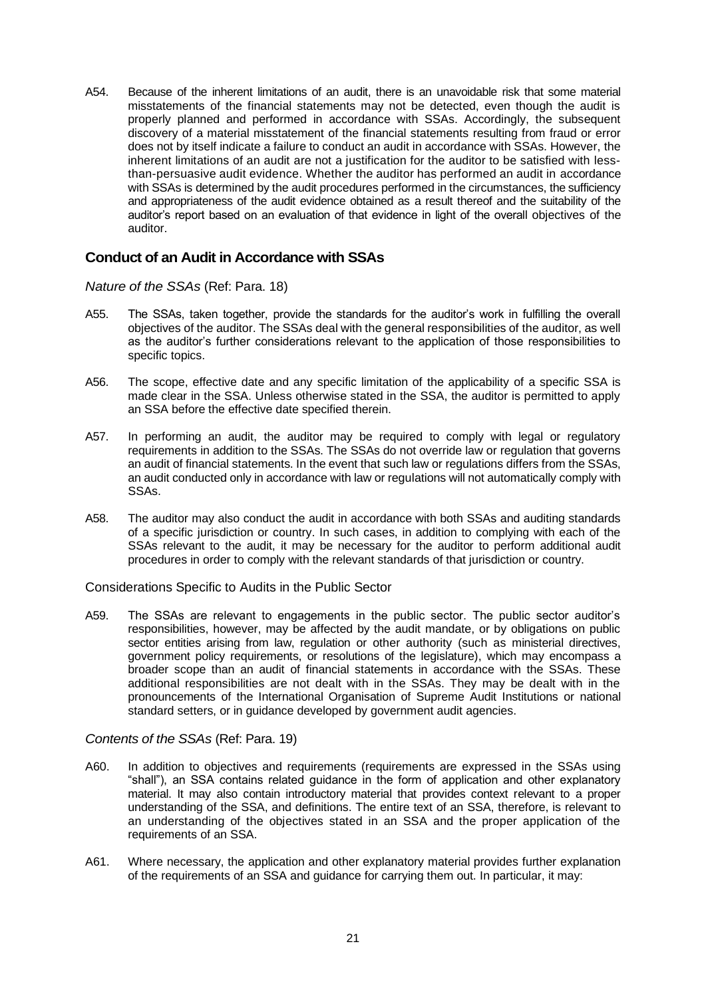A54. Because of the inherent limitations of an audit, there is an unavoidable risk that some material misstatements of the financial statements may not be detected, even though the audit is properly planned and performed in accordance with SSAs. Accordingly, the subsequent discovery of a material misstatement of the financial statements resulting from fraud or error does not by itself indicate a failure to conduct an audit in accordance with SSAs. However, the inherent limitations of an audit are not a justification for the auditor to be satisfied with lessthan-persuasive audit evidence. Whether the auditor has performed an audit in accordance with SSAs is determined by the audit procedures performed in the circumstances, the sufficiency and appropriateness of the audit evidence obtained as a result thereof and the suitability of the auditor's report based on an evaluation of that evidence in light of the overall objectives of the auditor.

### **Conduct of an Audit in Accordance with SSAs**

#### *Nature of the SSAs* (Ref: Para. 18)

- A55. The SSAs, taken together, provide the standards for the auditor's work in fulfilling the overall objectives of the auditor. The SSAs deal with the general responsibilities of the auditor, as well as the auditor's further considerations relevant to the application of those responsibilities to specific topics.
- A56. The scope, effective date and any specific limitation of the applicability of a specific SSA is made clear in the SSA. Unless otherwise stated in the SSA, the auditor is permitted to apply an SSA before the effective date specified therein.
- A57. In performing an audit, the auditor may be required to comply with legal or regulatory requirements in addition to the SSAs. The SSAs do not override law or regulation that governs an audit of financial statements. In the event that such law or regulations differs from the SSAs, an audit conducted only in accordance with law or regulations will not automatically comply with SSAs.
- A58. The auditor may also conduct the audit in accordance with both SSAs and auditing standards of a specific jurisdiction or country. In such cases, in addition to complying with each of the SSAs relevant to the audit, it may be necessary for the auditor to perform additional audit procedures in order to comply with the relevant standards of that jurisdiction or country.

Considerations Specific to Audits in the Public Sector

A59. The SSAs are relevant to engagements in the public sector. The public sector auditor's responsibilities, however, may be affected by the audit mandate, or by obligations on public sector entities arising from law, regulation or other authority (such as ministerial directives, government policy requirements, or resolutions of the legislature), which may encompass a broader scope than an audit of financial statements in accordance with the SSAs. These additional responsibilities are not dealt with in the SSAs. They may be dealt with in the pronouncements of the International Organisation of Supreme Audit Institutions or national standard setters, or in guidance developed by government audit agencies.

#### *Contents of the SSAs* (Ref: Para. 19)

- A60. In addition to objectives and requirements (requirements are expressed in the SSAs using "shall"), an SSA contains related guidance in the form of application and other explanatory material. It may also contain introductory material that provides context relevant to a proper understanding of the SSA, and definitions. The entire text of an SSA, therefore, is relevant to an understanding of the objectives stated in an SSA and the proper application of the requirements of an SSA.
- A61. Where necessary, the application and other explanatory material provides further explanation of the requirements of an SSA and guidance for carrying them out. In particular, it may: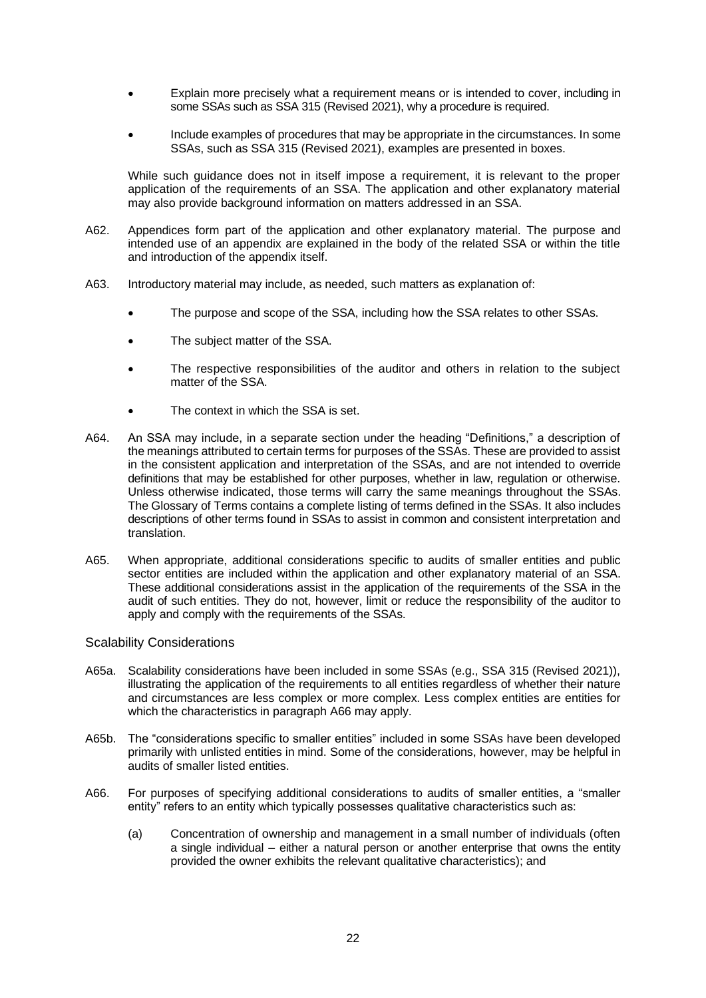- Explain more precisely what a requirement means or is intended to cover, including in some SSAs such as SSA 315 (Revised 2021), why a procedure is required.
- Include examples of procedures that may be appropriate in the circumstances. In some SSAs, such as SSA 315 (Revised 2021), examples are presented in boxes.

While such guidance does not in itself impose a requirement, it is relevant to the proper application of the requirements of an SSA. The application and other explanatory material may also provide background information on matters addressed in an SSA.

- A62. Appendices form part of the application and other explanatory material. The purpose and intended use of an appendix are explained in the body of the related SSA or within the title and introduction of the appendix itself.
- A63. Introductory material may include, as needed, such matters as explanation of:
	- The purpose and scope of the SSA, including how the SSA relates to other SSAs.
	- The subject matter of the SSA.
	- The respective responsibilities of the auditor and others in relation to the subject matter of the SSA.
	- The context in which the SSA is set.
- A64. An SSA may include, in a separate section under the heading "Definitions," a description of the meanings attributed to certain terms for purposes of the SSAs. These are provided to assist in the consistent application and interpretation of the SSAs, and are not intended to override definitions that may be established for other purposes, whether in law, regulation or otherwise. Unless otherwise indicated, those terms will carry the same meanings throughout the SSAs. The Glossary of Terms contains a complete listing of terms defined in the SSAs. It also includes descriptions of other terms found in SSAs to assist in common and consistent interpretation and translation.
- A65. When appropriate, additional considerations specific to audits of smaller entities and public sector entities are included within the application and other explanatory material of an SSA. These additional considerations assist in the application of the requirements of the SSA in the audit of such entities. They do not, however, limit or reduce the responsibility of the auditor to apply and comply with the requirements of the SSAs.

#### Scalability Considerations

- A65a. Scalability considerations have been included in some SSAs (e.g., SSA 315 (Revised 2021)), illustrating the application of the requirements to all entities regardless of whether their nature and circumstances are less complex or more complex. Less complex entities are entities for which the characteristics in paragraph A66 may apply.
- A65b. The "considerations specific to smaller entities" included in some SSAs have been developed primarily with unlisted entities in mind. Some of the considerations, however, may be helpful in audits of smaller listed entities.
- A66. For purposes of specifying additional considerations to audits of smaller entities, a "smaller entity" refers to an entity which typically possesses qualitative characteristics such as:
	- (a) Concentration of ownership and management in a small number of individuals (often a single individual – either a natural person or another enterprise that owns the entity provided the owner exhibits the relevant qualitative characteristics); and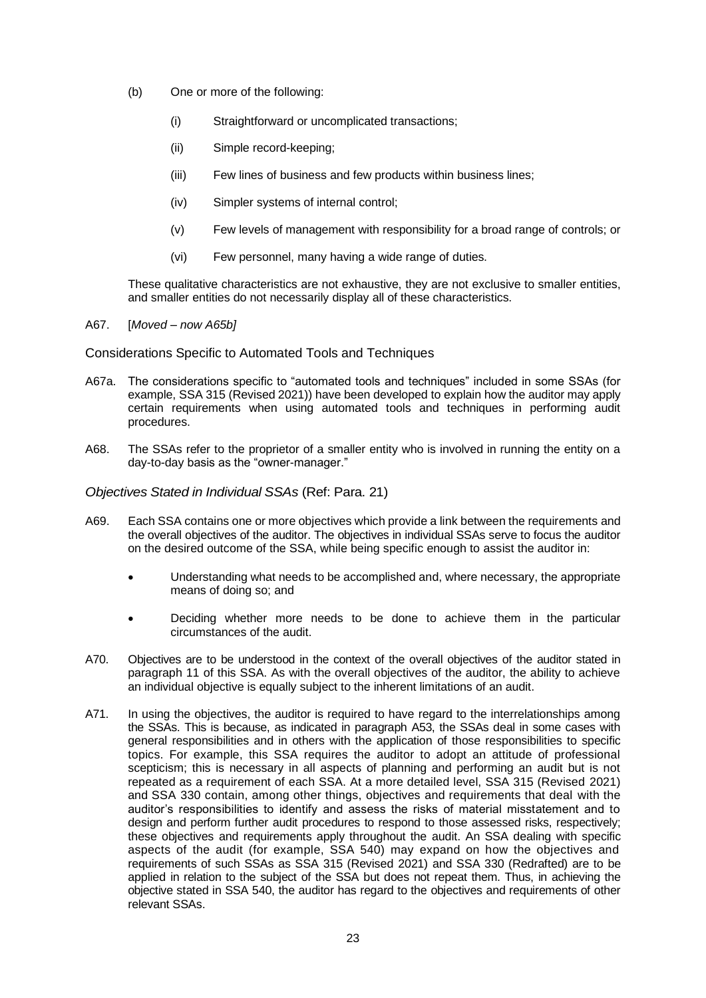- (b) One or more of the following:
	- (i) Straightforward or uncomplicated transactions;
	- (ii) Simple record-keeping;
	- (iii) Few lines of business and few products within business lines;
	- (iv) Simpler systems of internal control;
	- (v) Few levels of management with responsibility for a broad range of controls; or
	- (vi) Few personnel, many having a wide range of duties.

These qualitative characteristics are not exhaustive, they are not exclusive to smaller entities, and smaller entities do not necessarily display all of these characteristics.

A67. [*Moved – now A65b]*

Considerations Specific to Automated Tools and Techniques

- A67a. The considerations specific to "automated tools and techniques" included in some SSAs (for example, SSA 315 (Revised 2021)) have been developed to explain how the auditor may apply certain requirements when using automated tools and techniques in performing audit procedures.
- A68. The SSAs refer to the proprietor of a smaller entity who is involved in running the entity on a day-to-day basis as the "owner-manager."

#### *Objectives Stated in Individual SSAs* (Ref: Para. 21)

- A69. Each SSA contains one or more objectives which provide a link between the requirements and the overall objectives of the auditor. The objectives in individual SSAs serve to focus the auditor on the desired outcome of the SSA, while being specific enough to assist the auditor in:
	- Understanding what needs to be accomplished and, where necessary, the appropriate means of doing so; and
	- Deciding whether more needs to be done to achieve them in the particular circumstances of the audit.
- A70. Objectives are to be understood in the context of the overall objectives of the auditor stated in paragraph 11 of this SSA. As with the overall objectives of the auditor, the ability to achieve an individual objective is equally subject to the inherent limitations of an audit.
- A71. In using the objectives, the auditor is required to have regard to the interrelationships among the SSAs. This is because, as indicated in paragraph A53, the SSAs deal in some cases with general responsibilities and in others with the application of those responsibilities to specific topics. For example, this SSA requires the auditor to adopt an attitude of professional scepticism; this is necessary in all aspects of planning and performing an audit but is not repeated as a requirement of each SSA. At a more detailed level, SSA 315 (Revised 2021) and SSA 330 contain, among other things, objectives and requirements that deal with the auditor's responsibilities to identify and assess the risks of material misstatement and to design and perform further audit procedures to respond to those assessed risks, respectively; these objectives and requirements apply throughout the audit. An SSA dealing with specific aspects of the audit (for example, SSA 540) may expand on how the objectives and requirements of such SSAs as SSA 315 (Revised 2021) and SSA 330 (Redrafted) are to be applied in relation to the subject of the SSA but does not repeat them. Thus, in achieving the objective stated in SSA 540, the auditor has regard to the objectives and requirements of other relevant SSAs.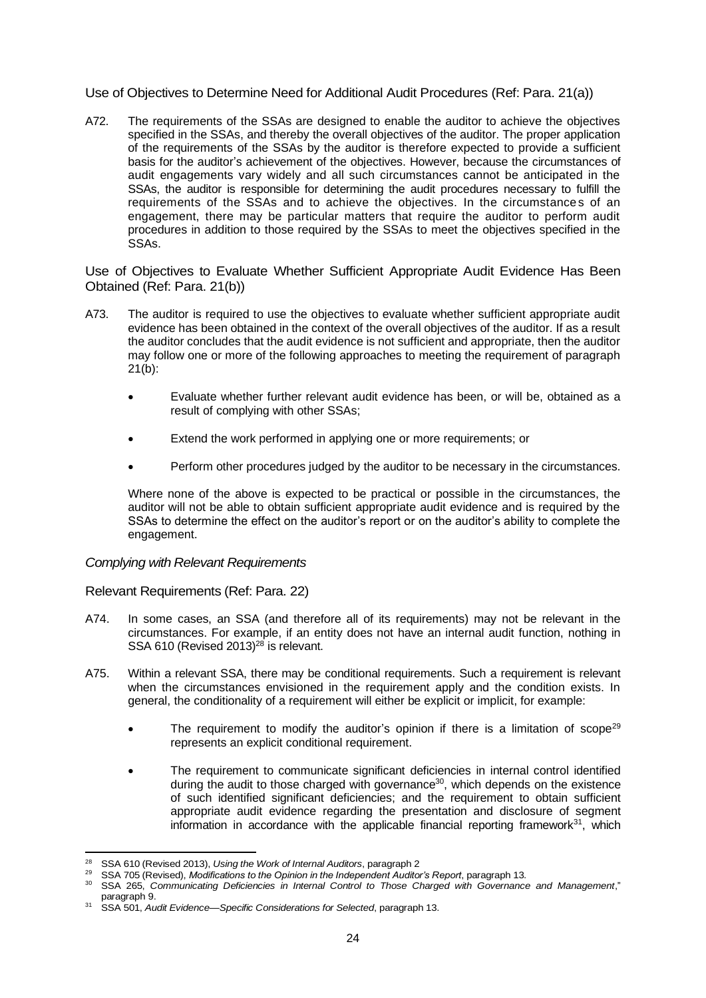Use of Objectives to Determine Need for Additional Audit Procedures (Ref: Para. 21(a))

A72. The requirements of the SSAs are designed to enable the auditor to achieve the objectives specified in the SSAs, and thereby the overall objectives of the auditor. The proper application of the requirements of the SSAs by the auditor is therefore expected to provide a sufficient basis for the auditor's achievement of the objectives. However, because the circumstances of audit engagements vary widely and all such circumstances cannot be anticipated in the SSAs, the auditor is responsible for determining the audit procedures necessary to fulfill the requirements of the SSAs and to achieve the objectives. In the circumstance s of an engagement, there may be particular matters that require the auditor to perform audit procedures in addition to those required by the SSAs to meet the objectives specified in the SSAs.

Use of Objectives to Evaluate Whether Sufficient Appropriate Audit Evidence Has Been Obtained (Ref: Para. 21(b))

- A73. The auditor is required to use the objectives to evaluate whether sufficient appropriate audit evidence has been obtained in the context of the overall objectives of the auditor. If as a result the auditor concludes that the audit evidence is not sufficient and appropriate, then the auditor may follow one or more of the following approaches to meeting the requirement of paragraph 21(b):
	- Evaluate whether further relevant audit evidence has been, or will be, obtained as a result of complying with other SSAs;
	- Extend the work performed in applying one or more requirements; or
	- Perform other procedures judged by the auditor to be necessary in the circumstances.

Where none of the above is expected to be practical or possible in the circumstances, the auditor will not be able to obtain sufficient appropriate audit evidence and is required by the SSAs to determine the effect on the auditor's report or on the auditor's ability to complete the engagement.

#### *Complying with Relevant Requirements*

Relevant Requirements (Ref: Para. 22)

- A74. In some cases, an SSA (and therefore all of its requirements) may not be relevant in the circumstances. For example, if an entity does not have an internal audit function, nothing in SSA 610 (Revised 2013)<sup>28</sup> is relevant.
- A75. Within a relevant SSA, there may be conditional requirements. Such a requirement is relevant when the circumstances envisioned in the requirement apply and the condition exists. In general, the conditionality of a requirement will either be explicit or implicit, for example:
	- The requirement to modify the auditor's opinion if there is a limitation of scope<sup>29</sup> represents an explicit conditional requirement.
	- The requirement to communicate significant deficiencies in internal control identified during the audit to those charged with governance<sup>30</sup>, which depends on the existence of such identified significant deficiencies; and the requirement to obtain sufficient appropriate audit evidence regarding the presentation and disclosure of segment information in accordance with the applicable financial reporting framework $31$ , which

<sup>28</sup> SSA 610 (Revised 2013), *Using the Work of Internal Auditors*, paragraph 2

<sup>&</sup>lt;sup>29</sup> SSA 705 (Revised), *Modifications to the Opinion in the Independent Auditor's Report*, paragraph 13.<br><sup>30</sup> SSA 2055, Communicating Deficiencies in Internal Central to These Charged with Coverance

<sup>30</sup> SSA 265, *Communicating Deficiencies in Internal Control to Those Charged with Governance and Management*," paragraph 9.

<sup>31</sup> SSA 501, *Audit Evidence—Specific Considerations for Selected*, paragraph 13.